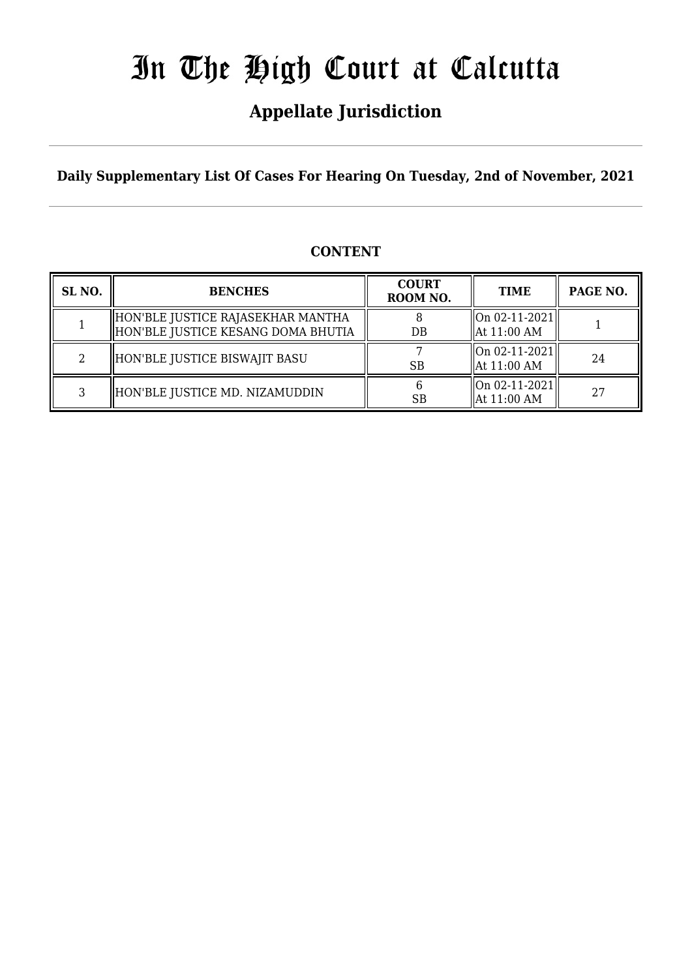## **Appellate Jurisdiction**

**Daily Supplementary List Of Cases For Hearing On Tuesday, 2nd of November, 2021**

### **CONTENT**

| SL <sub>NO.</sub> | <b>BENCHES</b>                                                          | <b>COURT</b><br>ROOM NO. | <b>TIME</b>                               | PAGE NO. |
|-------------------|-------------------------------------------------------------------------|--------------------------|-------------------------------------------|----------|
|                   | HON'BLE JUSTICE RAJASEKHAR MANTHA<br>HON'BLE JUSTICE KESANG DOMA BHUTIA | DB                       | On 02-11-2021 <br>$\parallel$ At 11:00 AM |          |
|                   | HON'BLE JUSTICE BISWAJIT BASU                                           | SB                       | On 02-11-2021 <br>$\parallel$ At 11:00 AM | 24       |
|                   | HON'BLE JUSTICE MD. NIZAMUDDIN                                          | <b>SB</b>                | On 02-11-2021 <br>$\parallel$ At 11:00 AM | 27       |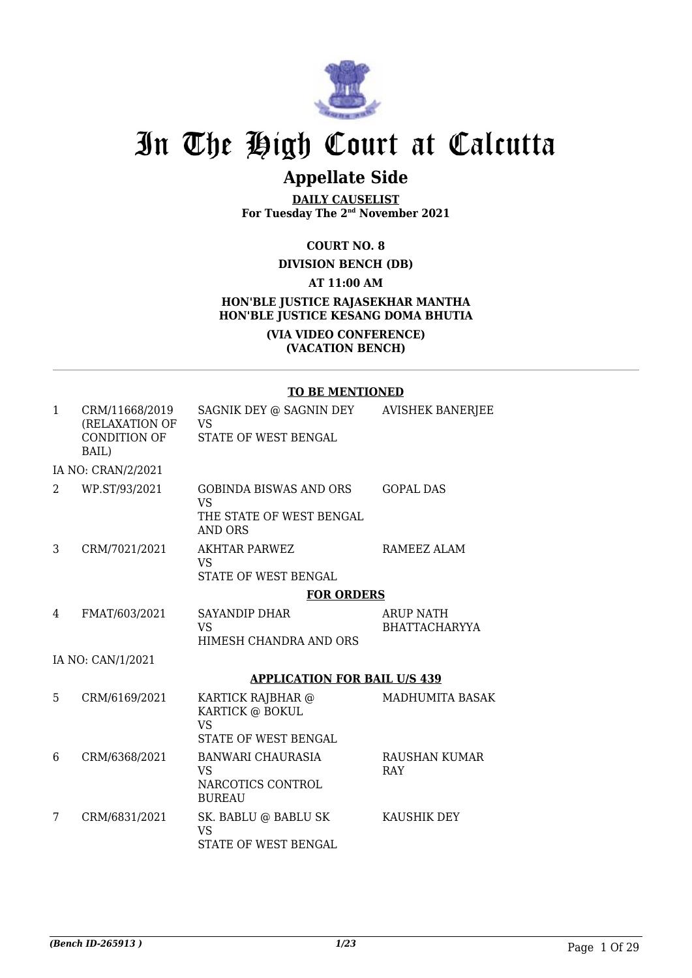

## **Appellate Side**

**DAILY CAUSELIST For Tuesday The 2nd November 2021**

#### **COURT NO. 8**

#### **DIVISION BENCH (DB)**

#### **AT 11:00 AM**

#### **HON'BLE JUSTICE RAJASEKHAR MANTHA HON'BLE JUSTICE KESANG DOMA BHUTIA**

#### **(VIA VIDEO CONFERENCE) (VACATION BENCH)**

#### **TO BE MENTIONED**

| $\mathbf{1}$ | CRM/11668/2019<br>(RELAXATION OF<br>CONDITION OF<br>BAIL) | SAGNIK DEY @ SAGNIN DEY<br>VS<br>STATE OF WEST BENGAL                             | <b>AVISHEK BANERJEE</b>                  |
|--------------|-----------------------------------------------------------|-----------------------------------------------------------------------------------|------------------------------------------|
|              | IA NO: CRAN/2/2021                                        |                                                                                   |                                          |
| 2            | WP.ST/93/2021                                             | <b>GOBINDA BISWAS AND ORS</b><br><b>VS</b><br>THE STATE OF WEST BENGAL<br>AND ORS | <b>GOPAL DAS</b>                         |
| 3            | CRM/7021/2021                                             | <b>AKHTAR PARWEZ</b><br><b>VS</b><br>STATE OF WEST BENGAL                         | RAMEEZ ALAM                              |
|              |                                                           | <b>FOR ORDERS</b>                                                                 |                                          |
| 4            | FMAT/603/2021                                             | SAYANDIP DHAR<br><b>VS</b><br>HIMESH CHANDRA AND ORS                              | <b>ARUP NATH</b><br><b>BHATTACHARYYA</b> |
|              | IA NO: CAN/1/2021                                         |                                                                                   |                                          |
|              |                                                           | <b>APPLICATION FOR BAIL U/S 439</b>                                               |                                          |
| 5            | CRM/6169/2021                                             | KARTICK RAJBHAR @<br>KARTICK @ BOKUL<br><b>VS</b>                                 | <b>MADHUMITA BASAK</b>                   |
|              |                                                           | STATE OF WEST BENGAL                                                              |                                          |
| 6            | CRM/6368/2021                                             | BANWARI CHAURASIA<br>VS<br>NARCOTICS CONTROL<br><b>BUREAU</b>                     | RAUSHAN KUMAR<br><b>RAY</b>              |
| 7            | CRM/6831/2021                                             | SK. BABLU @ BABLU SK<br><b>VS</b><br>STATE OF WEST BENGAL                         | KAUSHIK DEY                              |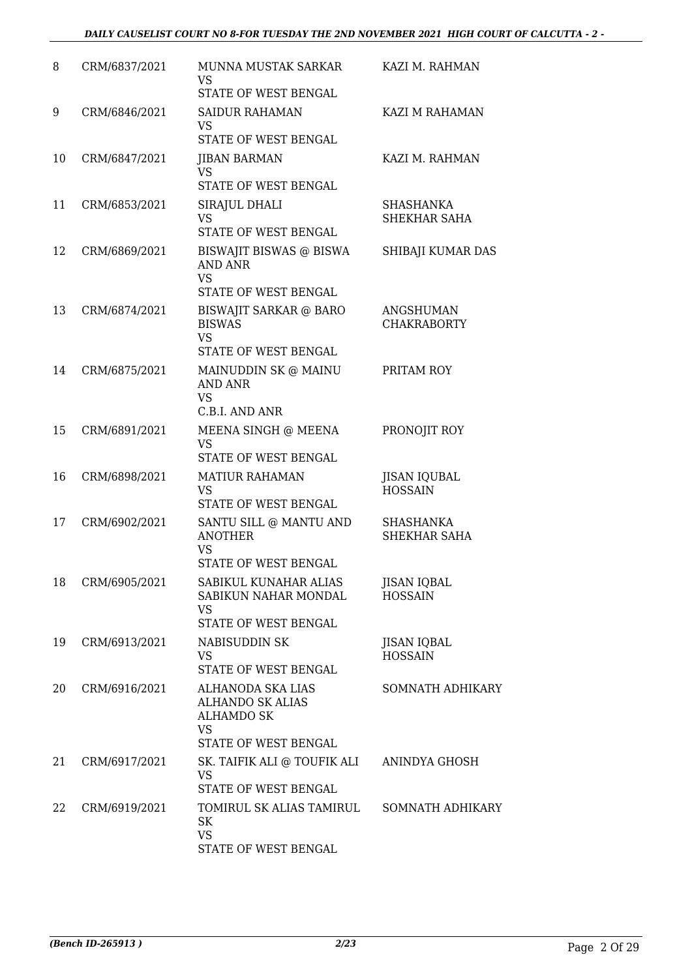#### *DAILY CAUSELIST COURT NO 8-FOR TUESDAY THE 2ND NOVEMBER 2021 HIGH COURT OF CALCUTTA - 2 -*

| 8  | CRM/6837/2021 | MUNNA MUSTAK SARKAR<br><b>VS</b><br>STATE OF WEST BENGAL                                               | KAZI M. RAHMAN                         |
|----|---------------|--------------------------------------------------------------------------------------------------------|----------------------------------------|
| 9  | CRM/6846/2021 | <b>SAIDUR RAHAMAN</b><br>VS<br>STATE OF WEST BENGAL                                                    | KAZI M RAHAMAN                         |
| 10 | CRM/6847/2021 | JIBAN BARMAN<br><b>VS</b><br>STATE OF WEST BENGAL                                                      | KAZI M. RAHMAN                         |
| 11 | CRM/6853/2021 | SIRAJUL DHALI<br><b>VS</b><br>STATE OF WEST BENGAL                                                     | SHASHANKA<br>SHEKHAR SAHA              |
| 12 | CRM/6869/2021 | BISWAJIT BISWAS @ BISWA<br><b>AND ANR</b><br><b>VS</b><br>STATE OF WEST BENGAL                         | SHIBAJI KUMAR DAS                      |
| 13 | CRM/6874/2021 | <b>BISWAJIT SARKAR @ BARO</b><br><b>BISWAS</b><br><b>VS</b><br>STATE OF WEST BENGAL                    | <b>ANGSHUMAN</b><br><b>CHAKRABORTY</b> |
| 14 | CRM/6875/2021 | MAINUDDIN SK @ MAINU<br>AND ANR<br><b>VS</b><br>C.B.I. AND ANR                                         | PRITAM ROY                             |
| 15 | CRM/6891/2021 | MEENA SINGH @ MEENA<br><b>VS</b><br>STATE OF WEST BENGAL                                               | PRONOJIT ROY                           |
| 16 | CRM/6898/2021 | <b>MATIUR RAHAMAN</b><br>VS<br>STATE OF WEST BENGAL                                                    | <b>JISAN IQUBAL</b><br><b>HOSSAIN</b>  |
| 17 | CRM/6902/2021 | SANTU SILL @ MANTU AND<br><b>ANOTHER</b><br><b>VS</b><br>STATE OF WEST BENGAL                          | SHASHANKA<br>SHEKHAR SAHA              |
| 18 | CRM/6905/2021 | SABIKUL KUNAHAR ALIAS<br>SABIKUN NAHAR MONDAL<br>VS<br>STATE OF WEST BENGAL                            | <b>JISAN IQBAL</b><br><b>HOSSAIN</b>   |
| 19 | CRM/6913/2021 | NABISUDDIN SK<br><b>VS</b><br>STATE OF WEST BENGAL                                                     | <b>JISAN IQBAL</b><br><b>HOSSAIN</b>   |
| 20 | CRM/6916/2021 | ALHANODA SKA LIAS<br><b>ALHANDO SK ALIAS</b><br><b>ALHAMDO SK</b><br><b>VS</b><br>STATE OF WEST BENGAL | <b>SOMNATH ADHIKARY</b>                |
| 21 | CRM/6917/2021 | SK. TAIFIK ALI @ TOUFIK ALI<br><b>VS</b><br>STATE OF WEST BENGAL                                       | ANINDYA GHOSH                          |
| 22 | CRM/6919/2021 | TOMIRUL SK ALIAS TAMIRUL<br>SK<br><b>VS</b><br>STATE OF WEST BENGAL                                    | SOMNATH ADHIKARY                       |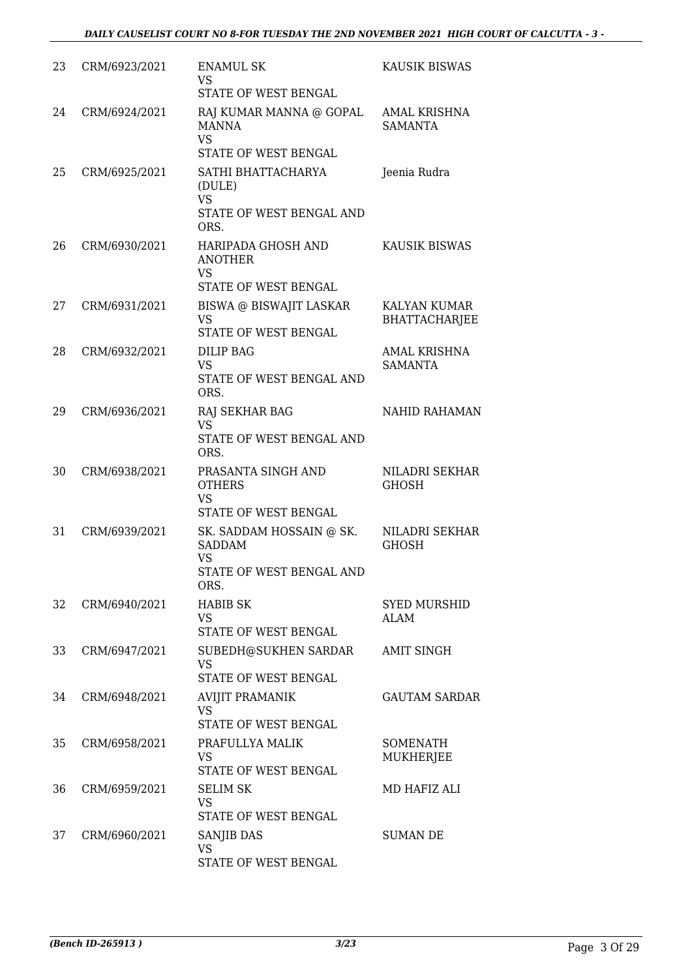| 23 | CRM/6923/2021 | <b>ENAMUL SK</b><br><b>VS</b><br>STATE OF WEST BENGAL                                                 | KAUSIK BISWAS                         |
|----|---------------|-------------------------------------------------------------------------------------------------------|---------------------------------------|
| 24 | CRM/6924/2021 | RAJ KUMAR MANNA @ GOPAL<br>MANNA<br><b>VS</b>                                                         | <b>AMAL KRISHNA</b><br><b>SAMANTA</b> |
| 25 | CRM/6925/2021 | STATE OF WEST BENGAL<br>SATHI BHATTACHARYA<br>(DULE)<br><b>VS</b><br>STATE OF WEST BENGAL AND<br>ORS. | Jeenia Rudra                          |
| 26 | CRM/6930/2021 | HARIPADA GHOSH AND<br><b>ANOTHER</b><br><b>VS</b><br>STATE OF WEST BENGAL                             | <b>KAUSIK BISWAS</b>                  |
| 27 | CRM/6931/2021 | BISWA @ BISWAJIT LASKAR<br>VS<br>STATE OF WEST BENGAL                                                 | KALYAN KUMAR<br><b>BHATTACHARJEE</b>  |
| 28 | CRM/6932/2021 | <b>DILIP BAG</b><br><b>VS</b><br>STATE OF WEST BENGAL AND<br>ORS.                                     | <b>AMAL KRISHNA</b><br><b>SAMANTA</b> |
| 29 | CRM/6936/2021 | RAJ SEKHAR BAG<br><b>VS</b><br>STATE OF WEST BENGAL AND<br>ORS.                                       | NAHID RAHAMAN                         |
| 30 | CRM/6938/2021 | PRASANTA SINGH AND<br><b>OTHERS</b><br><b>VS</b><br>STATE OF WEST BENGAL                              | <b>NILADRI SEKHAR</b><br><b>GHOSH</b> |
| 31 | CRM/6939/2021 | SK. SADDAM HOSSAIN @ SK.<br><b>SADDAM</b><br><b>VS</b><br>STATE OF WEST BENGAL AND<br>ORS.            | <b>NILADRI SEKHAR</b><br><b>GHOSH</b> |
| 32 | CRM/6940/2021 | <b>HABIB SK</b><br>VS<br>STATE OF WEST BENGAL                                                         | <b>SYED MURSHID</b><br>ALAM           |
| 33 | CRM/6947/2021 | SUBEDH@SUKHEN SARDAR<br><b>VS</b><br>STATE OF WEST BENGAL                                             | <b>AMIT SINGH</b>                     |
| 34 | CRM/6948/2021 | <b>AVIJIT PRAMANIK</b><br><b>VS</b><br>STATE OF WEST BENGAL                                           | <b>GAUTAM SARDAR</b>                  |
| 35 | CRM/6958/2021 | PRAFULLYA MALIK<br>VS<br>STATE OF WEST BENGAL                                                         | SOMENATH<br>MUKHERJEE                 |
| 36 | CRM/6959/2021 | <b>SELIM SK</b><br><b>VS</b><br>STATE OF WEST BENGAL                                                  | MD HAFIZ ALI                          |
| 37 | CRM/6960/2021 | SANJIB DAS<br><b>VS</b><br>STATE OF WEST BENGAL                                                       | <b>SUMAN DE</b>                       |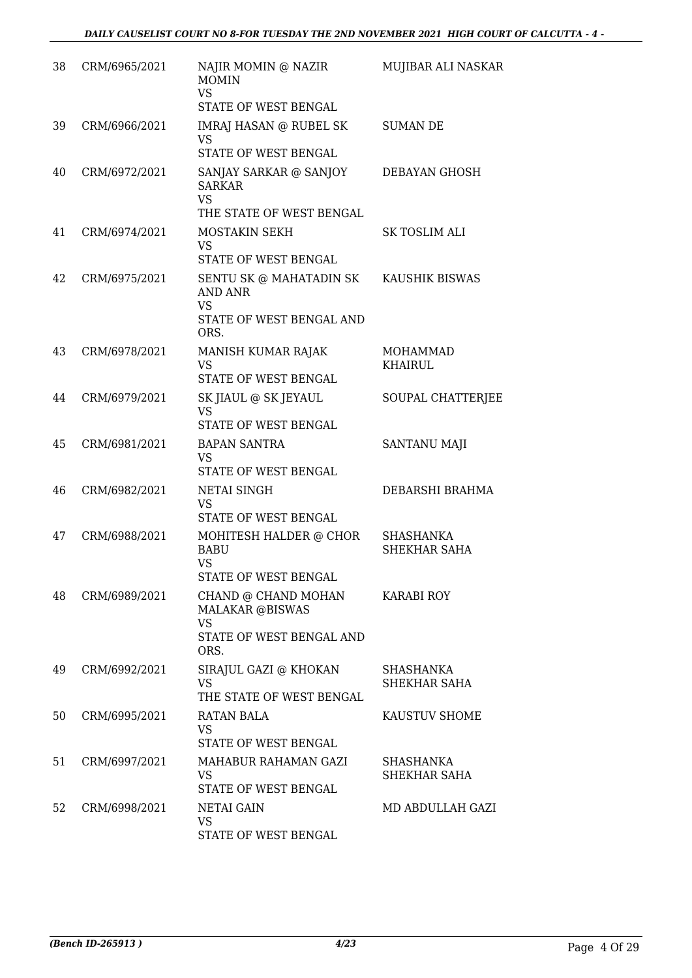| 38 | CRM/6965/2021 | NAJIR MOMIN @ NAZIR<br><b>MOMIN</b><br><b>VS</b><br>STATE OF WEST BENGAL                       | MUJIBAR ALI NASKAR               |
|----|---------------|------------------------------------------------------------------------------------------------|----------------------------------|
| 39 | CRM/6966/2021 | IMRAJ HASAN @ RUBEL SK<br><b>VS</b><br>STATE OF WEST BENGAL                                    | <b>SUMAN DE</b>                  |
| 40 | CRM/6972/2021 | SANJAY SARKAR @ SANJOY<br><b>SARKAR</b><br><b>VS</b><br>THE STATE OF WEST BENGAL               | <b>DEBAYAN GHOSH</b>             |
| 41 | CRM/6974/2021 | MOSTAKIN SEKH<br><b>VS</b><br>STATE OF WEST BENGAL                                             | SK TOSLIM ALI                    |
| 42 | CRM/6975/2021 | SENTU SK @ MAHATADIN SK<br><b>AND ANR</b><br><b>VS</b><br>STATE OF WEST BENGAL AND<br>ORS.     | KAUSHIK BISWAS                   |
| 43 | CRM/6978/2021 | MANISH KUMAR RAJAK<br><b>VS</b><br>STATE OF WEST BENGAL                                        | MOHAMMAD<br><b>KHAIRUL</b>       |
| 44 | CRM/6979/2021 | SK JIAUL @ SK JEYAUL<br>VS<br>STATE OF WEST BENGAL                                             | SOUPAL CHATTERJEE                |
| 45 | CRM/6981/2021 | <b>BAPAN SANTRA</b><br><b>VS</b><br>STATE OF WEST BENGAL                                       | SANTANU MAJI                     |
| 46 | CRM/6982/2021 | <b>NETAI SINGH</b><br><b>VS</b><br>STATE OF WEST BENGAL                                        | DEBARSHI BRAHMA                  |
| 47 | CRM/6988/2021 | MOHITESH HALDER @ CHOR<br><b>BABU</b><br>VS<br><b>STATE OF WEST BENGAL</b>                     | <b>SHASHANKA</b><br>SHEKHAR SAHA |
| 48 | CRM/6989/2021 | CHAND @ CHAND MOHAN<br><b>MALAKAR @BISWAS</b><br><b>VS</b><br>STATE OF WEST BENGAL AND<br>ORS. | <b>KARABI ROY</b>                |
| 49 | CRM/6992/2021 | SIRAJUL GAZI @ KHOKAN<br>VS<br>THE STATE OF WEST BENGAL                                        | <b>SHASHANKA</b><br>SHEKHAR SAHA |
| 50 | CRM/6995/2021 | <b>RATAN BALA</b><br>VS<br>STATE OF WEST BENGAL                                                | KAUSTUV SHOME                    |
| 51 | CRM/6997/2021 | MAHABUR RAHAMAN GAZI<br>VS<br>STATE OF WEST BENGAL                                             | <b>SHASHANKA</b><br>SHEKHAR SAHA |
| 52 | CRM/6998/2021 | NETAI GAIN<br>VS<br>STATE OF WEST BENGAL                                                       | MD ABDULLAH GAZI                 |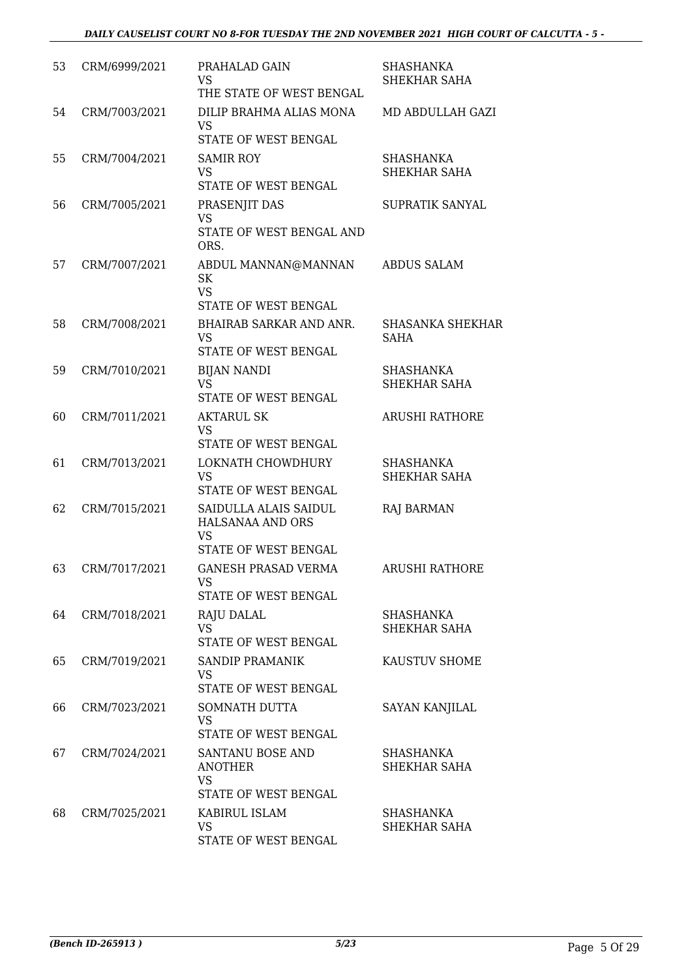| 53 | CRM/6999/2021 | PRAHALAD GAIN<br><b>VS</b><br>THE STATE OF WEST BENGAL                         | <b>SHASHANKA</b><br>SHEKHAR SAHA       |
|----|---------------|--------------------------------------------------------------------------------|----------------------------------------|
| 54 | CRM/7003/2021 | DILIP BRAHMA ALIAS MONA<br>VS<br>STATE OF WEST BENGAL                          | MD ABDULLAH GAZI                       |
| 55 | CRM/7004/2021 | <b>SAMIR ROY</b><br><b>VS</b><br>STATE OF WEST BENGAL                          | <b>SHASHANKA</b><br>SHEKHAR SAHA       |
| 56 | CRM/7005/2021 | PRASENJIT DAS<br><b>VS</b><br>STATE OF WEST BENGAL AND<br>ORS.                 | SUPRATIK SANYAL                        |
| 57 | CRM/7007/2021 | ABDUL MANNAN@MANNAN<br>SK<br><b>VS</b><br>STATE OF WEST BENGAL                 | <b>ABDUS SALAM</b>                     |
| 58 | CRM/7008/2021 | BHAIRAB SARKAR AND ANR.<br><b>VS</b><br>STATE OF WEST BENGAL                   | <b>SHASANKA SHEKHAR</b><br><b>SAHA</b> |
| 59 | CRM/7010/2021 | <b>BIJAN NANDI</b><br><b>VS</b><br>STATE OF WEST BENGAL                        | <b>SHASHANKA</b><br>SHEKHAR SAHA       |
| 60 | CRM/7011/2021 | <b>AKTARUL SK</b><br><b>VS</b><br>STATE OF WEST BENGAL                         | <b>ARUSHI RATHORE</b>                  |
| 61 | CRM/7013/2021 | LOKNATH CHOWDHURY<br><b>VS</b><br>STATE OF WEST BENGAL                         | <b>SHASHANKA</b><br>SHEKHAR SAHA       |
| 62 | CRM/7015/2021 | SAIDULLA ALAIS SAIDUL<br>HALSANAA AND ORS<br><b>VS</b><br>STATE OF WEST BENGAL | <b>RAJ BARMAN</b>                      |
| 63 | CRM/7017/2021 | <b>GANESH PRASAD VERMA</b><br>VS<br>STATE OF WEST BENGAL                       | <b>ARUSHI RATHORE</b>                  |
| 64 | CRM/7018/2021 | <b>RAJU DALAL</b><br><b>VS</b><br>STATE OF WEST BENGAL                         | SHASHANKA<br>SHEKHAR SAHA              |
| 65 | CRM/7019/2021 | <b>SANDIP PRAMANIK</b><br><b>VS</b><br>STATE OF WEST BENGAL                    | KAUSTUV SHOME                          |
| 66 | CRM/7023/2021 | SOMNATH DUTTA<br><b>VS</b><br>STATE OF WEST BENGAL                             | <b>SAYAN KANJILAL</b>                  |
| 67 | CRM/7024/2021 | SANTANU BOSE AND<br><b>ANOTHER</b><br><b>VS</b><br>STATE OF WEST BENGAL        | SHASHANKA<br>SHEKHAR SAHA              |
| 68 | CRM/7025/2021 | KABIRUL ISLAM<br>VS<br>STATE OF WEST BENGAL                                    | SHASHANKA<br>SHEKHAR SAHA              |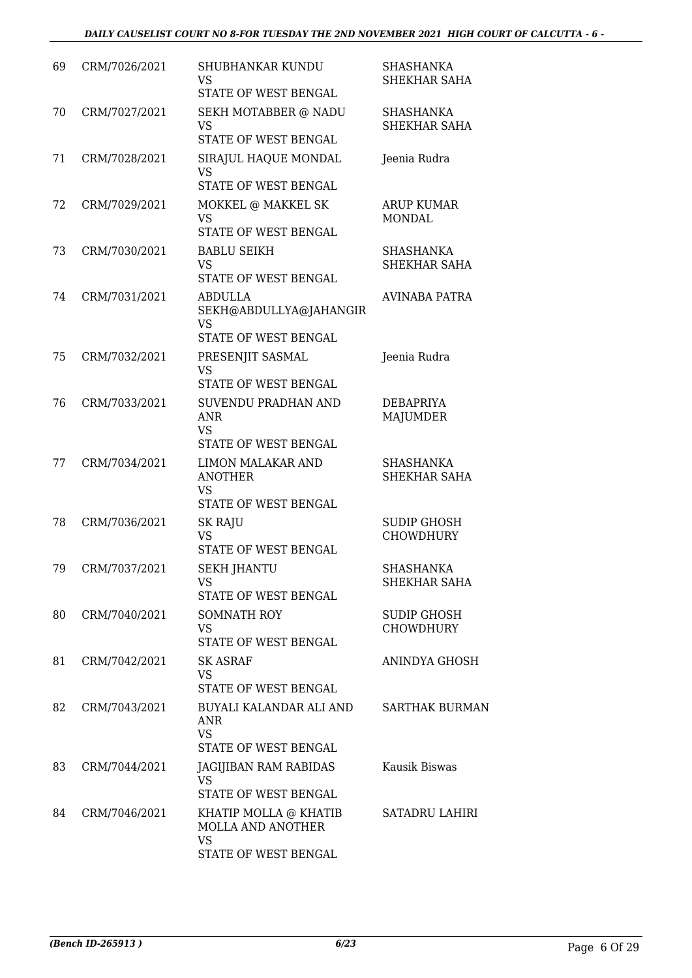| 69 | CRM/7026/2021 | SHUBHANKAR KUNDU<br>VS<br>STATE OF WEST BENGAL                                  | SHASHANKA<br>SHEKHAR SAHA              |
|----|---------------|---------------------------------------------------------------------------------|----------------------------------------|
| 70 | CRM/7027/2021 | SEKH MOTABBER @ NADU<br><b>VS</b><br>STATE OF WEST BENGAL                       | <b>SHASHANKA</b><br>SHEKHAR SAHA       |
| 71 | CRM/7028/2021 | SIRAJUL HAQUE MONDAL<br>VS<br>STATE OF WEST BENGAL                              | Jeenia Rudra                           |
| 72 | CRM/7029/2021 | MOKKEL @ MAKKEL SK<br><b>VS</b><br>STATE OF WEST BENGAL                         | <b>ARUP KUMAR</b><br><b>MONDAL</b>     |
| 73 | CRM/7030/2021 | <b>BABLU SEIKH</b><br><b>VS</b><br>STATE OF WEST BENGAL                         | <b>SHASHANKA</b><br>SHEKHAR SAHA       |
| 74 | CRM/7031/2021 | <b>ABDULLA</b><br>SEKH@ABDULLYA@JAHANGIR<br><b>VS</b>                           | <b>AVINABA PATRA</b>                   |
|    |               | STATE OF WEST BENGAL                                                            |                                        |
| 75 | CRM/7032/2021 | PRESENJIT SASMAL<br><b>VS</b>                                                   | Jeenia Rudra                           |
|    |               | STATE OF WEST BENGAL                                                            |                                        |
| 76 | CRM/7033/2021 | SUVENDU PRADHAN AND<br><b>ANR</b><br><b>VS</b><br>STATE OF WEST BENGAL          | DEBAPRIYA<br><b>MAJUMDER</b>           |
| 77 | CRM/7034/2021 | LIMON MALAKAR AND<br><b>ANOTHER</b><br><b>VS</b>                                | SHASHANKA<br>SHEKHAR SAHA              |
|    |               | STATE OF WEST BENGAL                                                            |                                        |
| 78 | CRM/7036/2021 | <b>SK RAJU</b><br><b>VS</b><br>STATE OF WEST BENGAL                             | <b>SUDIP GHOSH</b><br><b>CHOWDHURY</b> |
| 79 | CRM/7037/2021 | <b>SEKH JHANTU</b><br>VS<br>STATE OF WEST BENGAL                                | <b>SHASHANKA</b><br>SHEKHAR SAHA       |
| 80 | CRM/7040/2021 | SOMNATH ROY<br>VS.<br>STATE OF WEST BENGAL                                      | SUDIP GHOSH<br><b>CHOWDHURY</b>        |
| 81 | CRM/7042/2021 | <b>SK ASRAF</b><br><b>VS</b><br>STATE OF WEST BENGAL                            | ANINDYA GHOSH                          |
| 82 | CRM/7043/2021 | BUYALI KALANDAR ALI AND<br>ANR<br><b>VS</b><br>STATE OF WEST BENGAL             | <b>SARTHAK BURMAN</b>                  |
| 83 | CRM/7044/2021 | JAGIJIBAN RAM RABIDAS<br>VS<br>STATE OF WEST BENGAL                             | Kausik Biswas                          |
| 84 | CRM/7046/2021 | KHATIP MOLLA @ KHATIB<br>MOLLA AND ANOTHER<br><b>VS</b><br>STATE OF WEST BENGAL | <b>SATADRU LAHIRI</b>                  |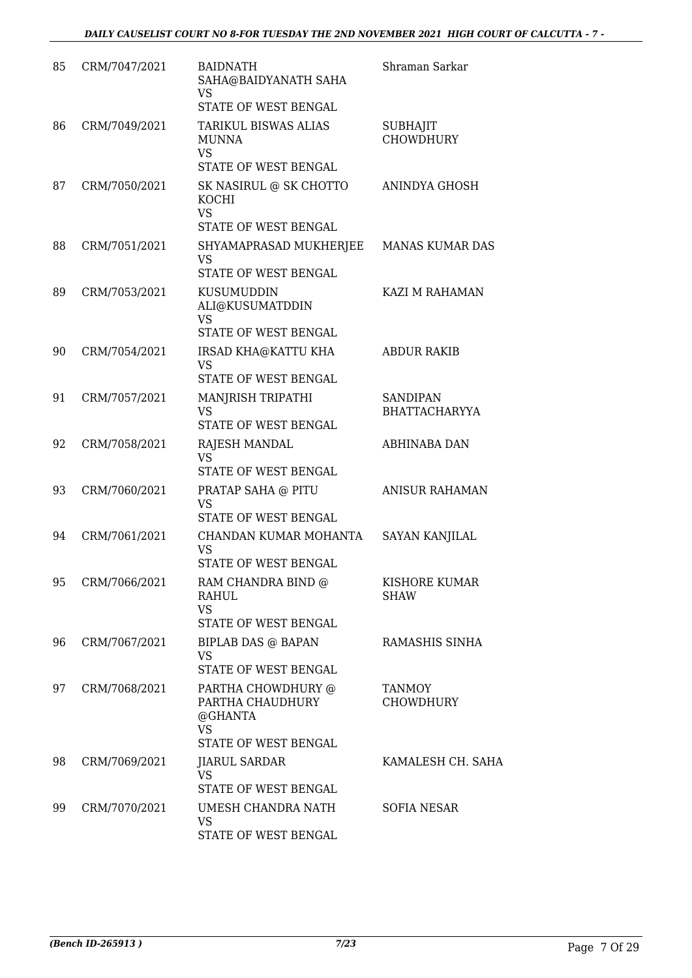| 85 | CRM/7047/2021 | <b>BAIDNATH</b><br>SAHA@BAIDYANATH SAHA<br>VS<br>STATE OF WEST BENGAL                  | Shraman Sarkar                          |
|----|---------------|----------------------------------------------------------------------------------------|-----------------------------------------|
| 86 | CRM/7049/2021 | TARIKUL BISWAS ALIAS<br><b>MUNNA</b><br>VS<br>STATE OF WEST BENGAL                     | <b>SUBHAJIT</b><br><b>CHOWDHURY</b>     |
| 87 | CRM/7050/2021 | SK NASIRUL @ SK CHOTTO<br>KOCHI<br><b>VS</b><br>STATE OF WEST BENGAL                   | ANINDYA GHOSH                           |
| 88 | CRM/7051/2021 | SHYAMAPRASAD MUKHERJEE<br>VS<br>STATE OF WEST BENGAL                                   | <b>MANAS KUMAR DAS</b>                  |
| 89 | CRM/7053/2021 | KUSUMUDDIN<br>ALI@KUSUMATDDIN<br><b>VS</b><br>STATE OF WEST BENGAL                     | KAZI M RAHAMAN                          |
| 90 | CRM/7054/2021 | IRSAD KHA@KATTU KHA<br><b>VS</b><br>STATE OF WEST BENGAL                               | <b>ABDUR RAKIB</b>                      |
| 91 | CRM/7057/2021 | MANJRISH TRIPATHI<br>VS<br>STATE OF WEST BENGAL                                        | <b>SANDIPAN</b><br><b>BHATTACHARYYA</b> |
| 92 | CRM/7058/2021 | RAJESH MANDAL<br><b>VS</b><br>STATE OF WEST BENGAL                                     | ABHINABA DAN                            |
| 93 | CRM/7060/2021 | PRATAP SAHA @ PITU<br><b>VS</b><br>STATE OF WEST BENGAL                                | <b>ANISUR RAHAMAN</b>                   |
| 94 | CRM/7061/2021 | CHANDAN KUMAR MOHANTA<br>VS<br>STATE OF WEST BENGAL                                    | SAYAN KANJILAL                          |
| 95 | CRM/7066/2021 | RAM CHANDRA BIND @<br>RAHUL<br><b>VS</b><br>STATE OF WEST BENGAL                       | KISHORE KUMAR<br>SHAW                   |
| 96 | CRM/7067/2021 | BIPLAB DAS @ BAPAN<br><b>VS</b><br>STATE OF WEST BENGAL                                | RAMASHIS SINHA                          |
| 97 | CRM/7068/2021 | PARTHA CHOWDHURY @<br>PARTHA CHAUDHURY<br>@GHANTA<br><b>VS</b><br>STATE OF WEST BENGAL | <b>TANMOY</b><br><b>CHOWDHURY</b>       |
| 98 | CRM/7069/2021 | JIARUL SARDAR<br><b>VS</b><br>STATE OF WEST BENGAL                                     | KAMALESH CH. SAHA                       |
| 99 | CRM/7070/2021 | UMESH CHANDRA NATH<br>VS<br>STATE OF WEST BENGAL                                       | <b>SOFIA NESAR</b>                      |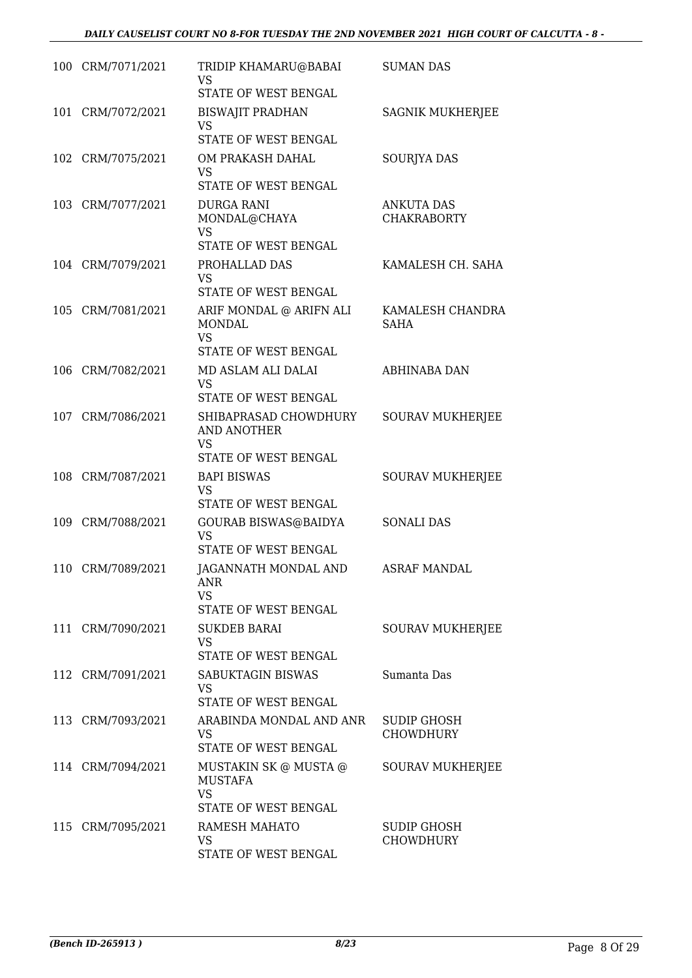|     | 100 CRM/7071/2021 | TRIDIP KHAMARU@BABAI<br>VS<br>STATE OF WEST BENGAL                               | <b>SUMAN DAS</b>                        |
|-----|-------------------|----------------------------------------------------------------------------------|-----------------------------------------|
| 101 | CRM/7072/2021     | <b>BISWAJIT PRADHAN</b><br><b>VS</b><br>STATE OF WEST BENGAL                     | <b>SAGNIK MUKHERJEE</b>                 |
|     | 102 CRM/7075/2021 | OM PRAKASH DAHAL<br><b>VS</b><br>STATE OF WEST BENGAL                            | SOURJYA DAS                             |
|     | 103 CRM/7077/2021 | <b>DURGA RANI</b><br>MONDAL@CHAYA<br>VS<br>STATE OF WEST BENGAL                  | <b>ANKUTA DAS</b><br><b>CHAKRABORTY</b> |
|     | 104 CRM/7079/2021 | PROHALLAD DAS<br><b>VS</b><br>STATE OF WEST BENGAL                               | KAMALESH CH. SAHA                       |
|     | 105 CRM/7081/2021 | ARIF MONDAL @ ARIFN ALI<br><b>MONDAL</b><br><b>VS</b><br>STATE OF WEST BENGAL    | KAMALESH CHANDRA<br><b>SAHA</b>         |
|     | 106 CRM/7082/2021 | MD ASLAM ALI DALAI<br>VS<br>STATE OF WEST BENGAL                                 | ABHINABA DAN                            |
|     | 107 CRM/7086/2021 | SHIBAPRASAD CHOWDHURY<br><b>AND ANOTHER</b><br><b>VS</b><br>STATE OF WEST BENGAL | <b>SOURAV MUKHERJEE</b>                 |
|     | 108 CRM/7087/2021 | <b>BAPI BISWAS</b><br><b>VS</b><br>STATE OF WEST BENGAL                          | <b>SOURAV MUKHERJEE</b>                 |
|     | 109 CRM/7088/2021 | GOURAB BISWAS@BAIDYA<br>VS<br>STATE OF WEST BENGAL                               | <b>SONALI DAS</b>                       |
|     | 110 CRM/7089/2021 | JAGANNATH MONDAL AND<br>ANR<br>VS.<br>STATE OF WEST BENGAL                       | <b>ASRAF MANDAL</b>                     |
|     | 111 CRM/7090/2021 | <b>SUKDEB BARAI</b><br>VS.<br>STATE OF WEST BENGAL                               | SOURAV MUKHERJEE                        |
|     | 112 CRM/7091/2021 | <b>SABUKTAGIN BISWAS</b><br>VS.<br>STATE OF WEST BENGAL                          | Sumanta Das                             |
|     | 113 CRM/7093/2021 | ARABINDA MONDAL AND ANR<br>VS.<br>STATE OF WEST BENGAL                           | SUDIP GHOSH<br><b>CHOWDHURY</b>         |
|     | 114 CRM/7094/2021 | MUSTAKIN SK @ MUSTA @<br><b>MUSTAFA</b><br><b>VS</b><br>STATE OF WEST BENGAL     | SOURAV MUKHERJEE                        |
|     | 115 CRM/7095/2021 | RAMESH MAHATO<br>VS<br>STATE OF WEST BENGAL                                      | SUDIP GHOSH<br><b>CHOWDHURY</b>         |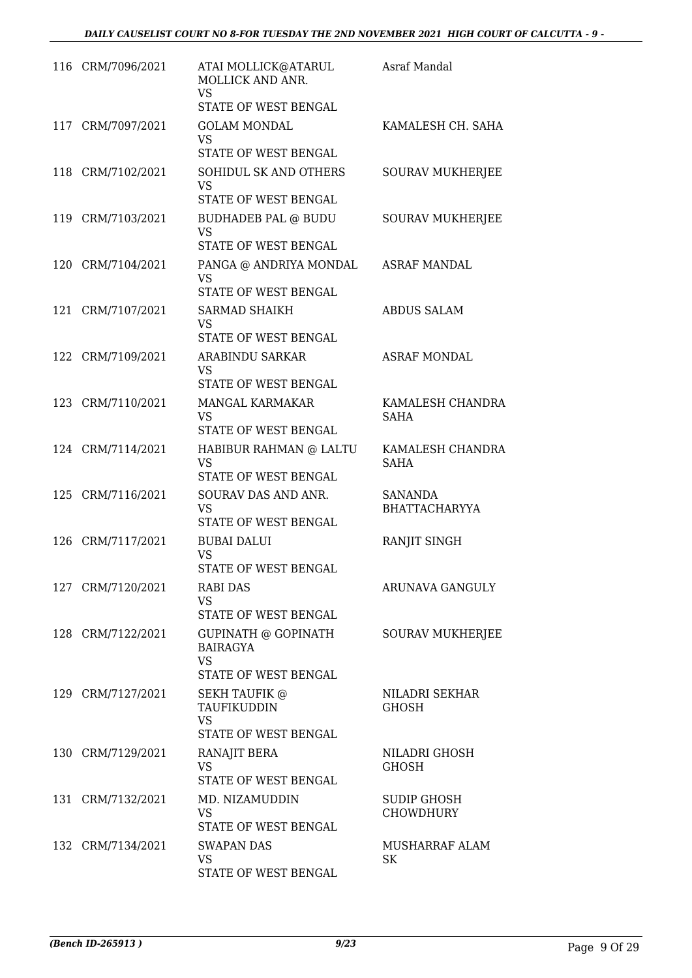| 116 CRM/7096/2021 | ATAI MOLLICK@ATARUL<br>MOLLICK AND ANR.<br><b>VS</b>       | Asraf Mandal                           |
|-------------------|------------------------------------------------------------|----------------------------------------|
|                   | STATE OF WEST BENGAL                                       |                                        |
| 117 CRM/7097/2021 | <b>GOLAM MONDAL</b><br><b>VS</b>                           | KAMALESH CH. SAHA                      |
|                   | STATE OF WEST BENGAL                                       |                                        |
| 118 CRM/7102/2021 | SOHIDUL SK AND OTHERS<br><b>VS</b><br>STATE OF WEST BENGAL | <b>SOURAV MUKHERJEE</b>                |
|                   |                                                            |                                        |
| 119 CRM/7103/2021 | BUDHADEB PAL @ BUDU<br><b>VS</b><br>STATE OF WEST BENGAL   | <b>SOURAV MUKHERJEE</b>                |
| 120 CRM/7104/2021 | PANGA @ ANDRIYA MONDAL                                     | <b>ASRAF MANDAL</b>                    |
|                   | VS<br>STATE OF WEST BENGAL                                 |                                        |
| 121 CRM/7107/2021 | <b>SARMAD SHAIKH</b><br><b>VS</b>                          | <b>ABDUS SALAM</b>                     |
|                   | STATE OF WEST BENGAL                                       |                                        |
| 122 CRM/7109/2021 | ARABINDU SARKAR<br>VS<br>STATE OF WEST BENGAL              | <b>ASRAF MONDAL</b>                    |
|                   |                                                            |                                        |
| 123 CRM/7110/2021 | MANGAL KARMAKAR<br><b>VS</b><br>STATE OF WEST BENGAL       | KAMALESH CHANDRA<br><b>SAHA</b>        |
| 124 CRM/7114/2021 | HABIBUR RAHMAN @ LALTU                                     | KAMALESH CHANDRA                       |
|                   | <b>VS</b><br>STATE OF WEST BENGAL                          | <b>SAHA</b>                            |
| 125 CRM/7116/2021 | SOURAV DAS AND ANR.<br><b>VS</b><br>STATE OF WEST BENGAL   | SANANDA<br><b>BHATTACHARYYA</b>        |
| 126 CRM/7117/2021 | <b>BUBAI DALUI</b>                                         | RANJIT SINGH                           |
|                   | VS<br>STATE OF WEST BENGAL                                 |                                        |
| 127 CRM/7120/2021 | <b>RABI DAS</b><br><b>VS</b>                               | <b>ARUNAVA GANGULY</b>                 |
|                   | STATE OF WEST BENGAL                                       |                                        |
| 128 CRM/7122/2021 | GUPINATH @ GOPINATH<br><b>BAIRAGYA</b><br><b>VS</b>        | <b>SOURAV MUKHERJEE</b>                |
|                   | STATE OF WEST BENGAL                                       |                                        |
| 129 CRM/7127/2021 | <b>SEKH TAUFIK @</b><br>TAUFIKUDDIN<br><b>VS</b>           | NILADRI SEKHAR<br><b>GHOSH</b>         |
|                   | STATE OF WEST BENGAL                                       |                                        |
| 130 CRM/7129/2021 | RANAJIT BERA<br><b>VS</b><br>STATE OF WEST BENGAL          | NILADRI GHOSH<br><b>GHOSH</b>          |
|                   |                                                            |                                        |
| 131 CRM/7132/2021 | MD. NIZAMUDDIN<br>VS<br>STATE OF WEST BENGAL               | <b>SUDIP GHOSH</b><br><b>CHOWDHURY</b> |
| 132 CRM/7134/2021 | <b>SWAPAN DAS</b>                                          | MUSHARRAF ALAM                         |
|                   | <b>VS</b><br>STATE OF WEST BENGAL                          | SK                                     |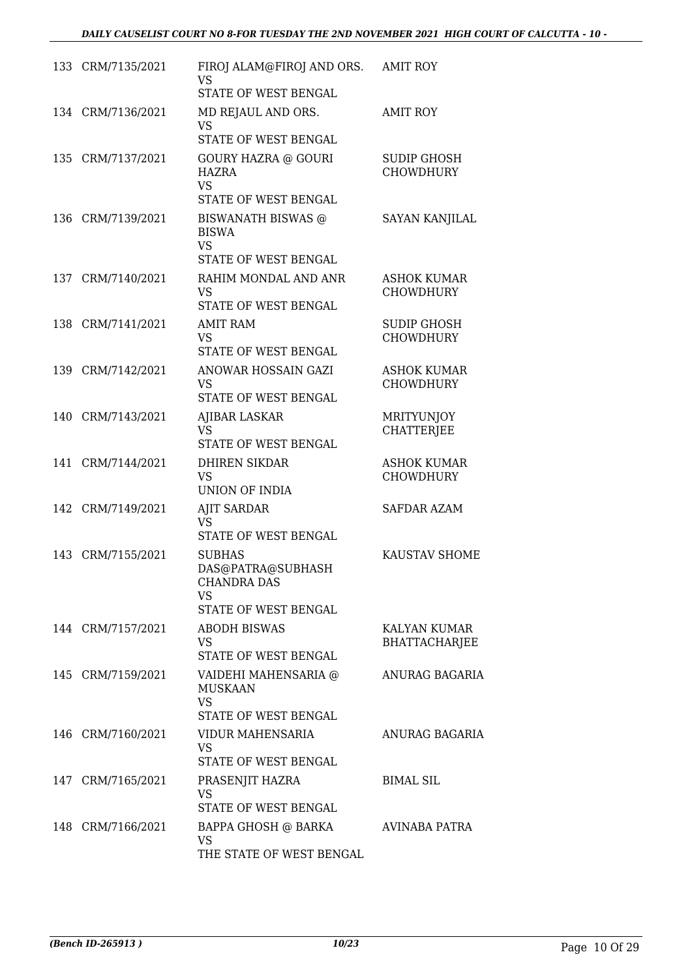|     | 133 CRM/7135/2021 | FIROJ ALAM@FIROJ AND ORS.<br><b>VS</b><br>STATE OF WEST BENGAL                                | <b>AMIT ROY</b>                        |
|-----|-------------------|-----------------------------------------------------------------------------------------------|----------------------------------------|
|     | 134 CRM/7136/2021 | MD REJAUL AND ORS.<br><b>VS</b><br>STATE OF WEST BENGAL                                       | <b>AMIT ROY</b>                        |
| 135 | CRM/7137/2021     | <b>GOURY HAZRA @ GOURI</b><br><b>HAZRA</b><br><b>VS</b><br>STATE OF WEST BENGAL               | <b>SUDIP GHOSH</b><br><b>CHOWDHURY</b> |
| 136 | CRM/7139/2021     | <b>BISWANATH BISWAS @</b><br><b>BISWA</b><br><b>VS</b><br>STATE OF WEST BENGAL                | SAYAN KANJILAL                         |
|     | 137 CRM/7140/2021 | RAHIM MONDAL AND ANR<br><b>VS</b><br>STATE OF WEST BENGAL                                     | <b>ASHOK KUMAR</b><br><b>CHOWDHURY</b> |
| 138 | CRM/7141/2021     | <b>AMIT RAM</b><br><b>VS</b><br>STATE OF WEST BENGAL                                          | <b>SUDIP GHOSH</b><br><b>CHOWDHURY</b> |
| 139 | CRM/7142/2021     | ANOWAR HOSSAIN GAZI<br><b>VS</b><br>STATE OF WEST BENGAL                                      | <b>ASHOK KUMAR</b><br><b>CHOWDHURY</b> |
|     | 140 CRM/7143/2021 | <b>AJIBAR LASKAR</b><br><b>VS</b><br>STATE OF WEST BENGAL                                     | <b>MRITYUNJOY</b><br><b>CHATTERJEE</b> |
| 141 | CRM/7144/2021     | <b>DHIREN SIKDAR</b><br><b>VS</b><br><b>UNION OF INDIA</b>                                    | <b>ASHOK KUMAR</b><br><b>CHOWDHURY</b> |
| 142 | CRM/7149/2021     | <b>AJIT SARDAR</b><br><b>VS</b><br>STATE OF WEST BENGAL                                       | <b>SAFDAR AZAM</b>                     |
| 143 | CRM/7155/2021     | <b>SUBHAS</b><br>DAS@PATRA@SUBHASH<br><b>CHANDRA DAS</b><br><b>VS</b><br>STATE OF WEST BENGAL | KAUSTAV SHOME                          |
|     | 144 CRM/7157/2021 | <b>ABODH BISWAS</b><br><b>VS</b><br>STATE OF WEST BENGAL                                      | KALYAN KUMAR<br><b>BHATTACHARJEE</b>   |
|     | 145 CRM/7159/2021 | VAIDEHI MAHENSARIA @<br><b>MUSKAAN</b><br><b>VS</b><br>STATE OF WEST BENGAL                   | ANURAG BAGARIA                         |
|     | 146 CRM/7160/2021 | VIDUR MAHENSARIA<br><b>VS</b><br>STATE OF WEST BENGAL                                         | ANURAG BAGARIA                         |
|     | 147 CRM/7165/2021 | PRASENJIT HAZRA<br>VS<br>STATE OF WEST BENGAL                                                 | <b>BIMAL SIL</b>                       |
|     | 148 CRM/7166/2021 | BAPPA GHOSH @ BARKA<br>VS<br>THE STATE OF WEST BENGAL                                         | AVINABA PATRA                          |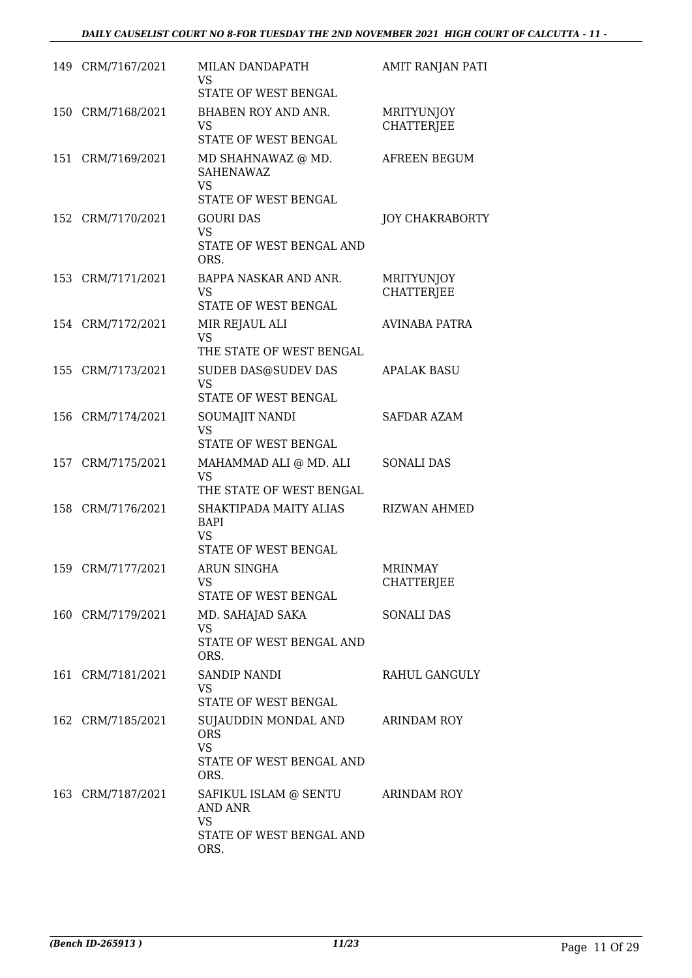|     | 149 CRM/7167/2021 | MILAN DANDAPATH<br>VS<br>STATE OF WEST BENGAL                                       | AMIT RANJAN PATI                       |
|-----|-------------------|-------------------------------------------------------------------------------------|----------------------------------------|
|     | 150 CRM/7168/2021 | BHABEN ROY AND ANR.<br><b>VS</b><br>STATE OF WEST BENGAL                            | MRITYUNJOY<br><b>CHATTERJEE</b>        |
| 151 | CRM/7169/2021     | MD SHAHNAWAZ @ MD.<br><b>SAHENAWAZ</b><br><b>VS</b><br>STATE OF WEST BENGAL         | AFREEN BEGUM                           |
|     | 152 CRM/7170/2021 | <b>GOURI DAS</b><br><b>VS</b><br>STATE OF WEST BENGAL AND<br>ORS.                   | <b>JOY CHAKRABORTY</b>                 |
|     | 153 CRM/7171/2021 | BAPPA NASKAR AND ANR.<br><b>VS</b><br>STATE OF WEST BENGAL                          | <b>MRITYUNJOY</b><br><b>CHATTERJEE</b> |
|     | 154 CRM/7172/2021 | MIR REJAUL ALI<br><b>VS</b><br>THE STATE OF WEST BENGAL                             | <b>AVINABA PATRA</b>                   |
|     | 155 CRM/7173/2021 | <b>SUDEB DAS@SUDEV DAS</b><br><b>VS</b><br>STATE OF WEST BENGAL                     | <b>APALAK BASU</b>                     |
|     | 156 CRM/7174/2021 | SOUMAJIT NANDI<br><b>VS</b><br>STATE OF WEST BENGAL                                 | <b>SAFDAR AZAM</b>                     |
|     | 157 CRM/7175/2021 | MAHAMMAD ALI @ MD. ALI<br><b>VS</b><br>THE STATE OF WEST BENGAL                     | <b>SONALI DAS</b>                      |
|     | 158 CRM/7176/2021 | SHAKTIPADA MAITY ALIAS<br><b>BAPI</b><br><b>VS</b><br>STATE OF WEST BENGAL          | <b>RIZWAN AHMED</b>                    |
|     | 159 CRM/7177/2021 | <b>ARUN SINGHA</b><br>VS<br>STATE OF WEST BENGAL                                    | <b>MRINMAY</b><br><b>CHATTERJEE</b>    |
|     | 160 CRM/7179/2021 | MD. SAHAJAD SAKA<br>VS<br>STATE OF WEST BENGAL AND<br>ORS.                          | <b>SONALI DAS</b>                      |
|     | 161 CRM/7181/2021 | <b>SANDIP NANDI</b><br>VS<br>STATE OF WEST BENGAL                                   | RAHUL GANGULY                          |
|     | 162 CRM/7185/2021 | SUJAUDDIN MONDAL AND<br><b>ORS</b><br><b>VS</b><br>STATE OF WEST BENGAL AND<br>ORS. | ARINDAM ROY                            |
|     | 163 CRM/7187/2021 | SAFIKUL ISLAM @ SENTU<br>AND ANR<br><b>VS</b><br>STATE OF WEST BENGAL AND<br>ORS.   | ARINDAM ROY                            |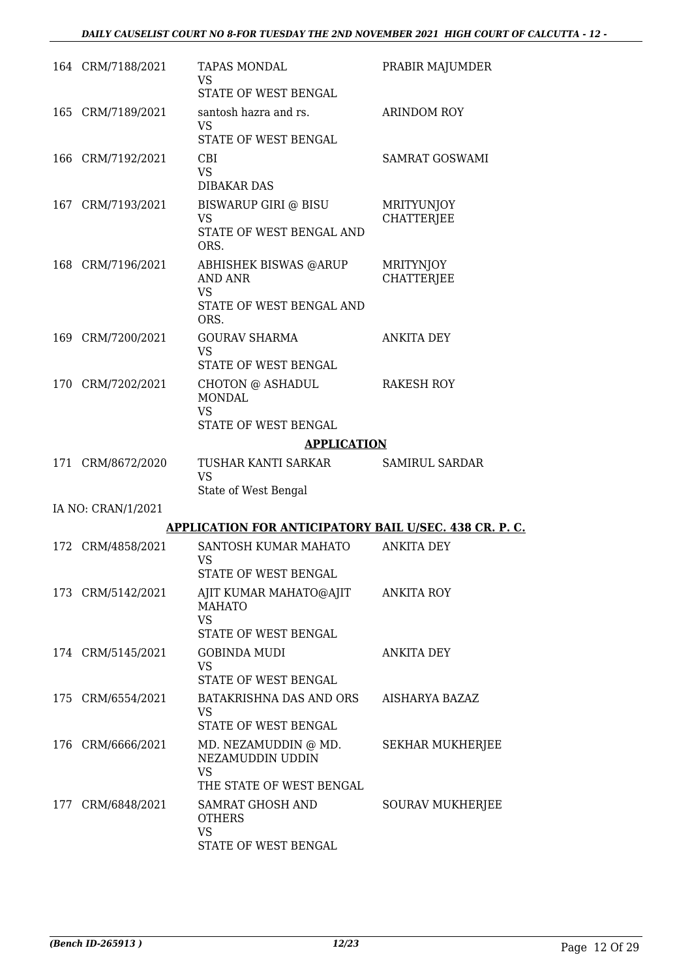| 164 CRM/7188/2021  | <b>TAPAS MONDAL</b><br><b>VS</b><br>STATE OF WEST BENGAL                                        | PRABIR MAJUMDER                        |
|--------------------|-------------------------------------------------------------------------------------------------|----------------------------------------|
| 165 CRM/7189/2021  | santosh hazra and rs.<br><b>VS</b><br>STATE OF WEST BENGAL                                      | <b>ARINDOM ROY</b>                     |
| 166 CRM/7192/2021  | <b>CBI</b><br><b>VS</b><br><b>DIBAKAR DAS</b>                                                   | <b>SAMRAT GOSWAMI</b>                  |
| 167 CRM/7193/2021  | BISWARUP GIRI @ BISU<br>VS<br>STATE OF WEST BENGAL AND<br>ORS.                                  | <b>MRITYUNJOY</b><br><b>CHATTERJEE</b> |
| 168 CRM/7196/2021  | <b>ABHISHEK BISWAS @ARUP</b><br><b>AND ANR</b><br><b>VS</b><br>STATE OF WEST BENGAL AND<br>ORS. | MRITYNJOY<br><b>CHATTERJEE</b>         |
| 169 CRM/7200/2021  | <b>GOURAV SHARMA</b><br><b>VS</b><br>STATE OF WEST BENGAL                                       | <b>ANKITA DEY</b>                      |
| 170 CRM/7202/2021  | CHOTON @ ASHADUL<br><b>MONDAL</b><br><b>VS</b><br>STATE OF WEST BENGAL                          | RAKESH ROY                             |
|                    | <b>APPLICATION</b>                                                                              |                                        |
| 171 CRM/8672/2020  | TUSHAR KANTI SARKAR<br><b>VS</b><br>State of West Bengal                                        | <b>SAMIRUL SARDAR</b>                  |
|                    |                                                                                                 |                                        |
| IA NO: CRAN/1/2021 |                                                                                                 |                                        |
|                    | <b>APPLICATION FOR ANTICIPATORY BAIL U/SEC. 438 CR. P. C.</b>                                   |                                        |
| 172 CRM/4858/2021  | SANTOSH KUMAR MAHATO<br>VS<br>STATE OF WEST BENGAL                                              | <b>ANKITA DEY</b>                      |
| 173 CRM/5142/2021  | AJIT KUMAR MAHATO@AJIT<br><b>MAHATO</b><br><b>VS</b><br>STATE OF WEST BENGAL                    | <b>ANKITA ROY</b>                      |
| 174 CRM/5145/2021  | <b>GOBINDA MUDI</b><br><b>VS</b><br>STATE OF WEST BENGAL                                        | ANKITA DEY                             |
| 175 CRM/6554/2021  | BATAKRISHNA DAS AND ORS<br><b>VS</b><br>STATE OF WEST BENGAL                                    | AISHARYA BAZAZ                         |
| 176 CRM/6666/2021  | MD. NEZAMUDDIN @ MD.<br>NEZAMUDDIN UDDIN<br><b>VS</b><br>THE STATE OF WEST BENGAL               | <b>SEKHAR MUKHERJEE</b>                |
| 177 CRM/6848/2021  | SAMRAT GHOSH AND<br><b>OTHERS</b><br><b>VS</b><br>STATE OF WEST BENGAL                          | <b>SOURAV MUKHERJEE</b>                |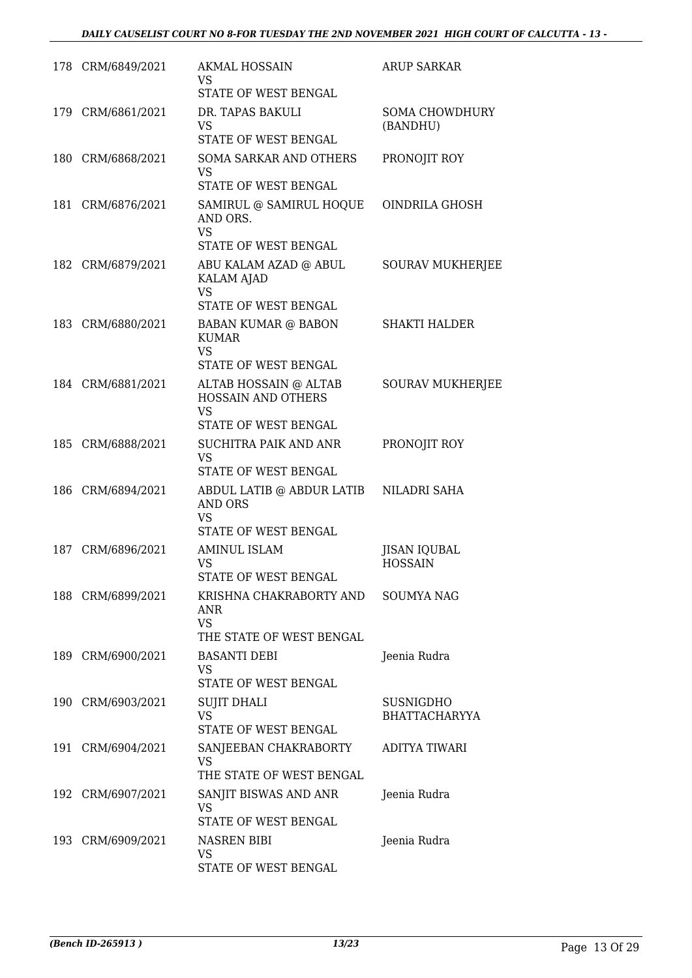|     | 178 CRM/6849/2021 | <b>AKMAL HOSSAIN</b><br>VS.<br>STATE OF WEST BENGAL                                                     | ARUP SARKAR                              |
|-----|-------------------|---------------------------------------------------------------------------------------------------------|------------------------------------------|
|     | 179 CRM/6861/2021 | DR. TAPAS BAKULI<br>VS<br><b>STATE OF WEST BENGAL</b>                                                   | <b>SOMA CHOWDHURY</b><br>(BANDHU)        |
|     | 180 CRM/6868/2021 | <b>SOMA SARKAR AND OTHERS</b><br><b>VS</b><br>STATE OF WEST BENGAL                                      | PRONOJIT ROY                             |
|     | 181 CRM/6876/2021 | SAMIRUL @ SAMIRUL HOQUE<br>AND ORS.<br><b>VS</b><br>STATE OF WEST BENGAL                                | OINDRILA GHOSH                           |
|     | 182 CRM/6879/2021 | ABU KALAM AZAD @ ABUL<br><b>KALAM AJAD</b><br><b>VS</b>                                                 | <b>SOURAV MUKHERJEE</b>                  |
|     | 183 CRM/6880/2021 | STATE OF WEST BENGAL<br><b>BABAN KUMAR @ BABON</b><br><b>KUMAR</b><br><b>VS</b><br>STATE OF WEST BENGAL | <b>SHAKTI HALDER</b>                     |
|     | 184 CRM/6881/2021 | ALTAB HOSSAIN @ ALTAB<br><b>HOSSAIN AND OTHERS</b><br>VS<br>STATE OF WEST BENGAL                        | <b>SOURAV MUKHERJEE</b>                  |
|     | 185 CRM/6888/2021 | SUCHITRA PAIK AND ANR<br><b>VS</b><br>STATE OF WEST BENGAL                                              | PRONOJIT ROY                             |
| 186 | CRM/6894/2021     | ABDUL LATIB @ ABDUR LATIB<br><b>AND ORS</b><br><b>VS</b><br>STATE OF WEST BENGAL                        | NILADRI SAHA                             |
| 187 | CRM/6896/2021     | <b>AMINUL ISLAM</b><br>VS<br><b>STATE OF WEST BENGAL</b>                                                | JISAN IQUBAL<br><b>HOSSAIN</b>           |
|     | 188 CRM/6899/2021 | KRISHNA CHAKRABORTY AND<br>ANR<br><b>VS</b><br>THE STATE OF WEST BENGAL                                 | <b>SOUMYA NAG</b>                        |
|     | 189 CRM/6900/2021 | <b>BASANTI DEBI</b><br>VS<br>STATE OF WEST BENGAL                                                       | Jeenia Rudra                             |
|     | 190 CRM/6903/2021 | <b>SUJIT DHALI</b><br><b>VS</b><br>STATE OF WEST BENGAL                                                 | <b>SUSNIGDHO</b><br><b>BHATTACHARYYA</b> |
|     | 191 CRM/6904/2021 | SANJEEBAN CHAKRABORTY<br>VS.<br>THE STATE OF WEST BENGAL                                                | <b>ADITYA TIWARI</b>                     |
|     | 192 CRM/6907/2021 | SANJIT BISWAS AND ANR<br>VS<br>STATE OF WEST BENGAL                                                     | Jeenia Rudra                             |
|     | 193 CRM/6909/2021 | NASREN BIBI<br>VS<br>STATE OF WEST BENGAL                                                               | Jeenia Rudra                             |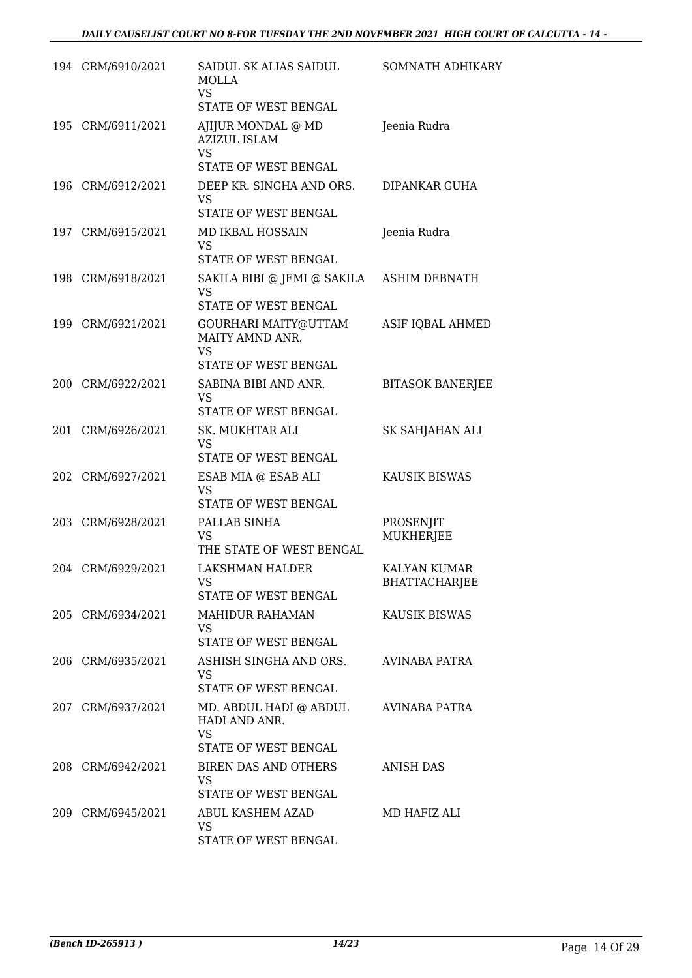|     | 194 CRM/6910/2021 | SAIDUL SK ALIAS SAIDUL<br><b>MOLLA</b><br>VS<br>STATE OF WEST BENGAL         | <b>SOMNATH ADHIKARY</b>              |
|-----|-------------------|------------------------------------------------------------------------------|--------------------------------------|
|     | 195 CRM/6911/2021 | AJIJUR MONDAL @ MD<br><b>AZIZUL ISLAM</b><br>VS.<br>STATE OF WEST BENGAL     | Jeenia Rudra                         |
| 196 | CRM/6912/2021     | DEEP KR. SINGHA AND ORS.<br>VS<br>STATE OF WEST BENGAL                       | DIPANKAR GUHA                        |
|     | 197 CRM/6915/2021 | MD IKBAL HOSSAIN<br><b>VS</b><br>STATE OF WEST BENGAL                        | Jeenia Rudra                         |
|     | 198 CRM/6918/2021 | SAKILA BIBI @ JEMI @ SAKILA<br>VS.<br>STATE OF WEST BENGAL                   | ASHIM DEBNATH                        |
| 199 | CRM/6921/2021     | GOURHARI MAITY@UTTAM<br>MAITY AMND ANR.<br>VS<br><b>STATE OF WEST BENGAL</b> | ASIF IQBAL AHMED                     |
|     | 200 CRM/6922/2021 | SABINA BIBI AND ANR.<br>VS<br>STATE OF WEST BENGAL                           | <b>BITASOK BANERJEE</b>              |
| 201 | CRM/6926/2021     | SK. MUKHTAR ALI<br><b>VS</b><br>STATE OF WEST BENGAL                         | SK SAHJAHAN ALI                      |
| 202 | CRM/6927/2021     | ESAB MIA @ ESAB ALI<br><b>VS</b><br>STATE OF WEST BENGAL                     | KAUSIK BISWAS                        |
|     | 203 CRM/6928/2021 | PALLAB SINHA<br>VS<br>THE STATE OF WEST BENGAL                               | PROSENJIT<br><b>MUKHERJEE</b>        |
|     | 204 CRM/6929/2021 | <b>LAKSHMAN HALDER</b><br>VS<br>STATE OF WEST BENGAL                         | KALYAN KUMAR<br><b>BHATTACHARJEE</b> |
|     | 205 CRM/6934/2021 | MAHIDUR RAHAMAN<br>VS<br>STATE OF WEST BENGAL                                | KAUSIK BISWAS                        |
|     | 206 CRM/6935/2021 | ASHISH SINGHA AND ORS.<br>VS.<br>STATE OF WEST BENGAL                        | AVINABA PATRA                        |
|     | 207 CRM/6937/2021 | MD. ABDUL HADI @ ABDUL<br>HADI AND ANR.<br>VS<br>STATE OF WEST BENGAL        | AVINABA PATRA                        |
|     | 208 CRM/6942/2021 | BIREN DAS AND OTHERS<br>VS<br>STATE OF WEST BENGAL                           | ANISH DAS                            |
|     | 209 CRM/6945/2021 | ABUL KASHEM AZAD<br>VS.<br>STATE OF WEST BENGAL                              | MD HAFIZ ALI                         |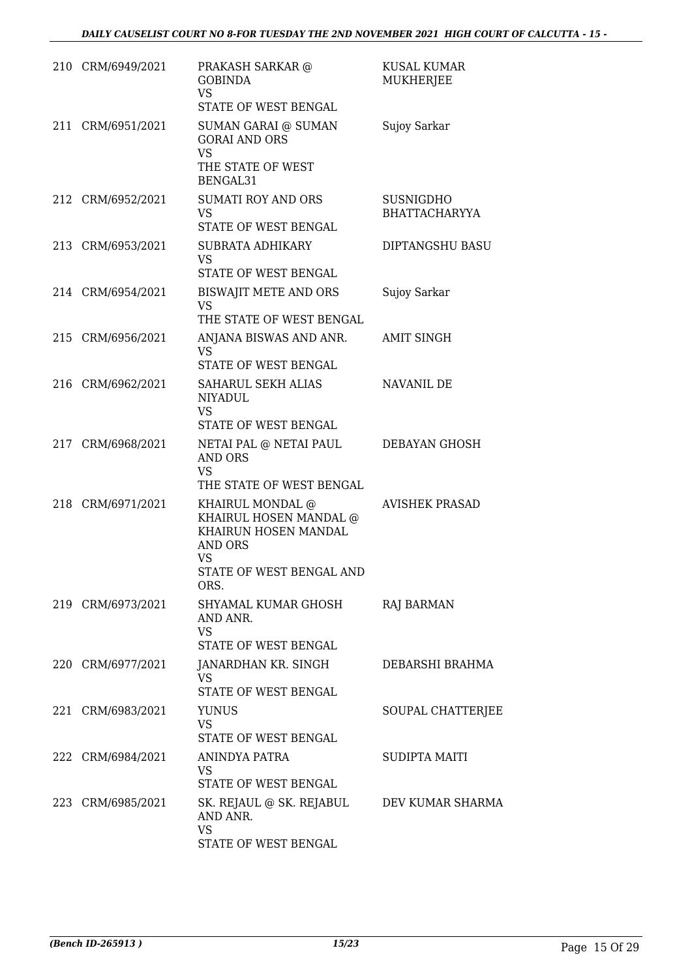| 210 CRM/6949/2021 | PRAKASH SARKAR @<br><b>GOBINDA</b><br><b>VS</b><br>STATE OF WEST BENGAL                                                 | <b>KUSAL KUMAR</b><br>MUKHERJEE          |
|-------------------|-------------------------------------------------------------------------------------------------------------------------|------------------------------------------|
| 211 CRM/6951/2021 | <b>SUMAN GARAI @ SUMAN</b><br><b>GORAI AND ORS</b><br><b>VS</b>                                                         | Sujoy Sarkar                             |
|                   | THE STATE OF WEST<br>BENGAL31                                                                                           |                                          |
| 212 CRM/6952/2021 | <b>SUMATI ROY AND ORS</b><br>VS.<br>STATE OF WEST BENGAL                                                                | <b>SUSNIGDHO</b><br><b>BHATTACHARYYA</b> |
| 213 CRM/6953/2021 | SUBRATA ADHIKARY<br>VS<br>STATE OF WEST BENGAL                                                                          | DIPTANGSHU BASU                          |
| 214 CRM/6954/2021 | BISWAJIT METE AND ORS<br>VS<br>THE STATE OF WEST BENGAL                                                                 | Sujoy Sarkar                             |
| 215 CRM/6956/2021 | ANJANA BISWAS AND ANR.<br>VS.<br>STATE OF WEST BENGAL                                                                   | <b>AMIT SINGH</b>                        |
| 216 CRM/6962/2021 | SAHARUL SEKH ALIAS<br><b>NIYADUL</b><br><b>VS</b><br>STATE OF WEST BENGAL                                               | NAVANIL DE                               |
| 217 CRM/6968/2021 | NETAI PAL @ NETAI PAUL<br>AND ORS<br>VS<br>THE STATE OF WEST BENGAL                                                     | DEBAYAN GHOSH                            |
| 218 CRM/6971/2021 | KHAIRUL MONDAL @<br>KHAIRUL HOSEN MANDAL @<br>KHAIRUN HOSEN MANDAL<br>AND ORS<br>VS<br>STATE OF WEST BENGAL AND<br>ORS. | <b>AVISHEK PRASAD</b>                    |
| 219 CRM/6973/2021 | SHYAMAL KUMAR GHOSH<br>AND ANR.<br>VS<br>STATE OF WEST BENGAL                                                           | RAJ BARMAN                               |
| 220 CRM/6977/2021 | JANARDHAN KR. SINGH<br>VS<br>STATE OF WEST BENGAL                                                                       | DEBARSHI BRAHMA                          |
| 221 CRM/6983/2021 | <b>YUNUS</b><br><b>VS</b><br>STATE OF WEST BENGAL                                                                       | SOUPAL CHATTERJEE                        |
| 222 CRM/6984/2021 | ANINDYA PATRA<br>VS<br>STATE OF WEST BENGAL                                                                             | SUDIPTA MAITI                            |
| 223 CRM/6985/2021 | SK. REJAUL @ SK. REJABUL<br>AND ANR.<br>VS<br>STATE OF WEST BENGAL                                                      | DEV KUMAR SHARMA                         |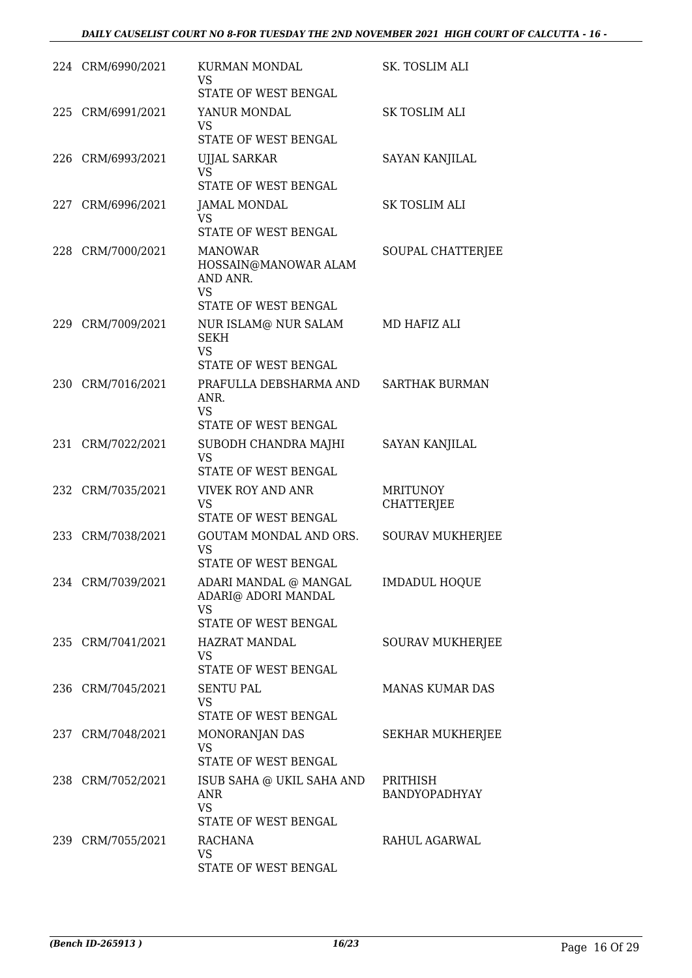|     | 224 CRM/6990/2021 | KURMAN MONDAL<br>VS<br>STATE OF WEST BENGAL                                       | SK. TOSLIM ALI                       |
|-----|-------------------|-----------------------------------------------------------------------------------|--------------------------------------|
| 225 | CRM/6991/2021     | YANUR MONDAL<br>VS<br>STATE OF WEST BENGAL                                        | <b>SK TOSLIM ALI</b>                 |
|     | 226 CRM/6993/2021 | UJJAL SARKAR<br><b>VS</b>                                                         | <b>SAYAN KANJILAL</b>                |
|     |                   | STATE OF WEST BENGAL                                                              |                                      |
|     | 227 CRM/6996/2021 | <b>JAMAL MONDAL</b><br>VS                                                         | <b>SK TOSLIM ALI</b>                 |
|     |                   | STATE OF WEST BENGAL                                                              |                                      |
|     | 228 CRM/7000/2021 | <b>MANOWAR</b><br>HOSSAIN@MANOWAR ALAM<br>AND ANR.<br><b>VS</b>                   | SOUPAL CHATTERJEE                    |
|     |                   | STATE OF WEST BENGAL                                                              |                                      |
|     | 229 CRM/7009/2021 | NUR ISLAM@ NUR SALAM<br><b>SEKH</b><br>VS.<br>STATE OF WEST BENGAL                | MD HAFIZ ALI                         |
| 230 | CRM/7016/2021     | PRAFULLA DEBSHARMA AND                                                            | <b>SARTHAK BURMAN</b>                |
|     |                   | ANR.<br><b>VS</b>                                                                 |                                      |
|     |                   | STATE OF WEST BENGAL                                                              |                                      |
|     | 231 CRM/7022/2021 | SUBODH CHANDRA MAJHI<br><b>VS</b><br>STATE OF WEST BENGAL                         | <b>SAYAN KANJILAL</b>                |
|     | 232 CRM/7035/2021 | VIVEK ROY AND ANR<br><b>VS</b><br>STATE OF WEST BENGAL                            | <b>MRITUNOY</b><br><b>CHATTERJEE</b> |
|     | 233 CRM/7038/2021 | GOUTAM MONDAL AND ORS.                                                            | <b>SOURAV MUKHERJEE</b>              |
|     |                   | VS<br>STATE OF WEST BENGAL                                                        |                                      |
|     | 234 CRM/7039/2021 | ADARI MANDAL @ MANGAL<br>ADARI@ ADORI MANDAL<br><b>VS</b><br>STATE OF WEST BENGAL | <b>IMDADUL HOQUE</b>                 |
|     | 235 CRM/7041/2021 | <b>HAZRAT MANDAL</b>                                                              | SOURAV MUKHERJEE                     |
|     |                   | <b>VS</b><br>STATE OF WEST BENGAL                                                 |                                      |
|     | 236 CRM/7045/2021 | <b>SENTU PAL</b><br>VS                                                            | <b>MANAS KUMAR DAS</b>               |
|     |                   | STATE OF WEST BENGAL                                                              |                                      |
|     | 237 CRM/7048/2021 | MONORANJAN DAS<br><b>VS</b><br>STATE OF WEST BENGAL                               | SEKHAR MUKHERJEE                     |
|     | 238 CRM/7052/2021 | ISUB SAHA @ UKIL SAHA AND                                                         | PRITHISH                             |
|     |                   | <b>ANR</b><br><b>VS</b>                                                           | BANDYOPADHYAY                        |
|     | 239 CRM/7055/2021 | STATE OF WEST BENGAL<br>RACHANA                                                   | RAHUL AGARWAL                        |
|     |                   | VS<br>STATE OF WEST BENGAL                                                        |                                      |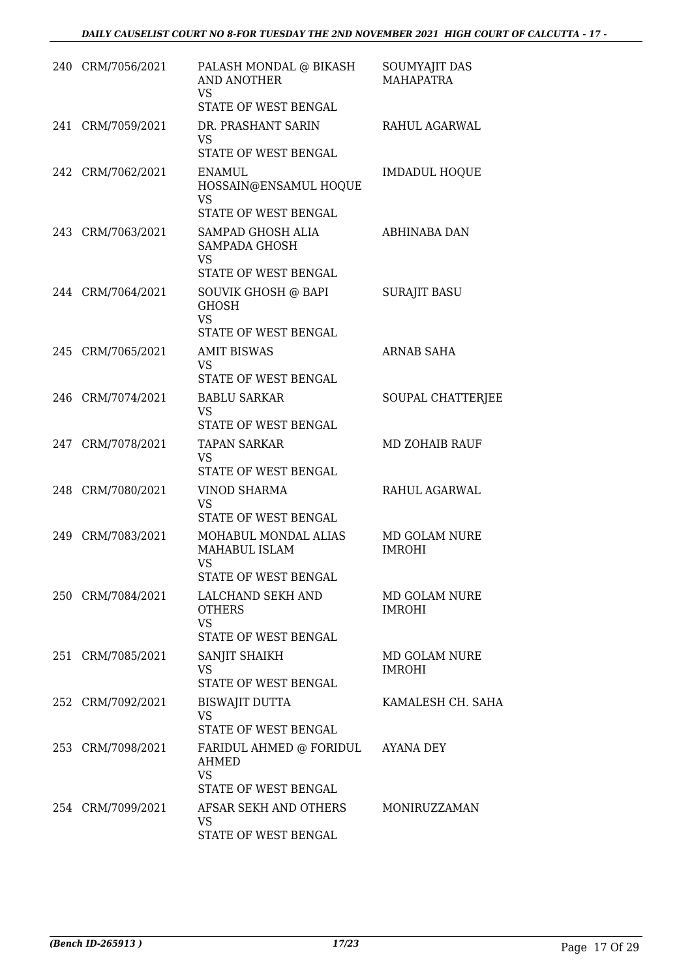|     | 240 CRM/7056/2021 | PALASH MONDAL @ BIKASH<br>AND ANOTHER<br><b>VS</b><br>STATE OF WEST BENGAL      | SOUMYAJIT DAS<br><b>MAHAPATRA</b> |
|-----|-------------------|---------------------------------------------------------------------------------|-----------------------------------|
| 241 | CRM/7059/2021     | DR. PRASHANT SARIN<br><b>VS</b><br>STATE OF WEST BENGAL                         | RAHUL AGARWAL                     |
|     | 242 CRM/7062/2021 | <b>ENAMUL</b><br>HOSSAIN@ENSAMUL HOQUE<br>VS<br>STATE OF WEST BENGAL            | <b>IMDADUL HOQUE</b>              |
|     | 243 CRM/7063/2021 | SAMPAD GHOSH ALIA<br>SAMPADA GHOSH<br>VS<br>STATE OF WEST BENGAL                | ABHINABA DAN                      |
|     | 244 CRM/7064/2021 | SOUVIK GHOSH @ BAPI<br><b>GHOSH</b><br><b>VS</b><br><b>STATE OF WEST BENGAL</b> | <b>SURAJIT BASU</b>               |
|     | 245 CRM/7065/2021 | <b>AMIT BISWAS</b><br><b>VS</b><br>STATE OF WEST BENGAL                         | <b>ARNAB SAHA</b>                 |
|     | 246 CRM/7074/2021 | <b>BABLU SARKAR</b><br><b>VS</b><br>STATE OF WEST BENGAL                        | SOUPAL CHATTERJEE                 |
|     | 247 CRM/7078/2021 | <b>TAPAN SARKAR</b><br><b>VS</b><br>STATE OF WEST BENGAL                        | <b>MD ZOHAIB RAUF</b>             |
|     | 248 CRM/7080/2021 | <b>VINOD SHARMA</b><br><b>VS</b><br>STATE OF WEST BENGAL                        | RAHUL AGARWAL                     |
|     | 249 CRM/7083/2021 | MOHABUL MONDAL ALIAS<br>MAHABUL ISLAM<br>VS<br>STATE OF WEST BENGAL             | MD GOLAM NURE<br><b>IMROHI</b>    |
|     | 250 CRM/7084/2021 | LALCHAND SEKH AND<br><b>OTHERS</b><br><b>VS</b><br>STATE OF WEST BENGAL         | MD GOLAM NURE<br><b>IMROHI</b>    |
|     | 251 CRM/7085/2021 | SANJIT SHAIKH<br><b>VS</b><br>STATE OF WEST BENGAL                              | MD GOLAM NURE<br><b>IMROHI</b>    |
|     | 252 CRM/7092/2021 | <b>BISWAJIT DUTTA</b><br><b>VS</b><br>STATE OF WEST BENGAL                      | KAMALESH CH. SAHA                 |
|     | 253 CRM/7098/2021 | FARIDUL AHMED @ FORIDUL AYANA DEY<br>AHMED<br><b>VS</b><br>STATE OF WEST BENGAL |                                   |
|     | 254 CRM/7099/2021 | AFSAR SEKH AND OTHERS<br>VS.<br>STATE OF WEST BENGAL                            | MONIRUZZAMAN                      |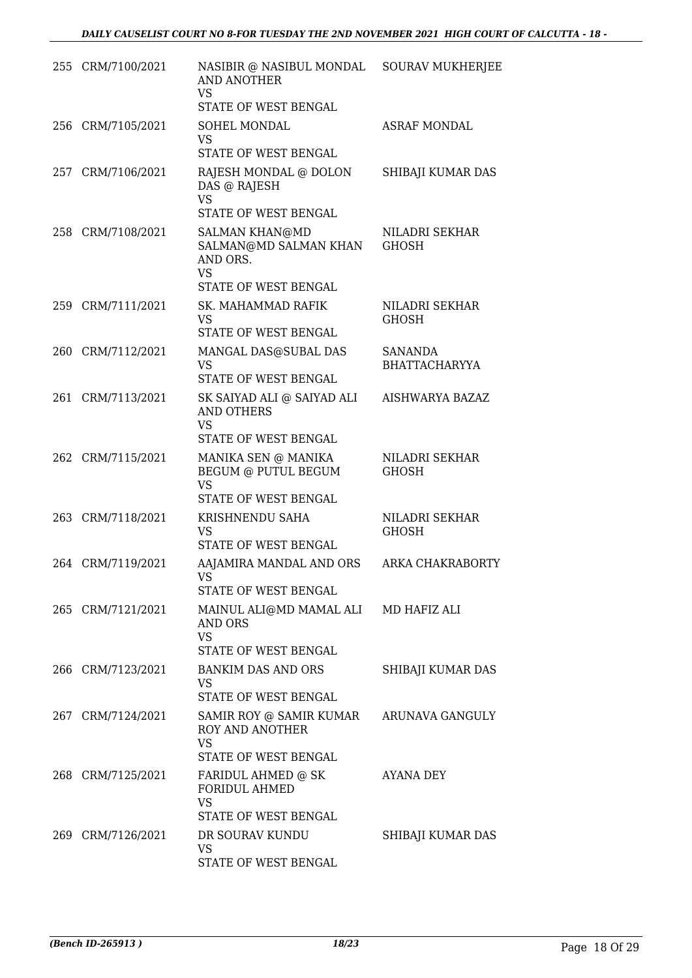|     | 255 CRM/7100/2021 | NASIBIR @ NASIBUL MONDAL<br><b>AND ANOTHER</b><br>VS<br>STATE OF WEST BENGAL         | <b>SOURAV MUKHERJEE</b>                |
|-----|-------------------|--------------------------------------------------------------------------------------|----------------------------------------|
|     | 256 CRM/7105/2021 | SOHEL MONDAL                                                                         | <b>ASRAF MONDAL</b>                    |
|     |                   | <b>VS</b><br>STATE OF WEST BENGAL                                                    |                                        |
| 257 | CRM/7106/2021     | RAJESH MONDAL @ DOLON<br>DAS @ RAJESH<br><b>VS</b><br>STATE OF WEST BENGAL           | SHIBAJI KUMAR DAS                      |
|     | 258 CRM/7108/2021 | <b>SALMAN KHAN@MD</b><br>SALMAN@MD SALMAN KHAN<br>AND ORS.<br><b>VS</b>              | NILADRI SEKHAR<br><b>GHOSH</b>         |
|     |                   | STATE OF WEST BENGAL                                                                 |                                        |
|     | 259 CRM/7111/2021 | SK. MAHAMMAD RAFIK<br>VS<br>STATE OF WEST BENGAL                                     | NILADRI SEKHAR<br><b>GHOSH</b>         |
| 260 | CRM/7112/2021     | MANGAL DAS@SUBAL DAS<br><b>VS</b><br>STATE OF WEST BENGAL                            | <b>SANANDA</b><br><b>BHATTACHARYYA</b> |
|     | 261 CRM/7113/2021 | SK SAIYAD ALI @ SAIYAD ALI<br><b>AND OTHERS</b><br><b>VS</b><br>STATE OF WEST BENGAL | AISHWARYA BAZAZ                        |
|     | 262 CRM/7115/2021 | MANIKA SEN @ MANIKA<br>BEGUM @ PUTUL BEGUM<br><b>VS</b><br>STATE OF WEST BENGAL      | NILADRI SEKHAR<br><b>GHOSH</b>         |
|     | 263 CRM/7118/2021 | KRISHNENDU SAHA<br><b>VS</b><br>STATE OF WEST BENGAL                                 | NILADRI SEKHAR<br><b>GHOSH</b>         |
|     | 264 CRM/7119/2021 | AAJAMIRA MANDAL AND ORS<br>VS FOR THE VS.<br>STATE OF WEST BENGAL                    | ARKA CHAKRABORTY                       |
|     | 265 CRM/7121/2021 | MAINUL ALI@MD MAMAL ALI<br>AND ORS<br><b>VS</b><br><b>STATE OF WEST BENGAL</b>       | MD HAFIZ ALI                           |
|     | 266 CRM/7123/2021 | <b>BANKIM DAS AND ORS</b><br>VS<br>STATE OF WEST BENGAL                              | SHIBAJI KUMAR DAS                      |
|     | 267 CRM/7124/2021 | SAMIR ROY @ SAMIR KUMAR<br>ROY AND ANOTHER<br>VS<br>STATE OF WEST BENGAL             | ARUNAVA GANGULY                        |
|     | 268 CRM/7125/2021 | FARIDUL AHMED @ SK<br><b>FORIDUL AHMED</b><br><b>VS</b>                              | AYANA DEY                              |
|     |                   | STATE OF WEST BENGAL                                                                 |                                        |
|     | 269 CRM/7126/2021 | DR SOURAV KUNDU<br>VS<br>STATE OF WEST BENGAL                                        | SHIBAJI KUMAR DAS                      |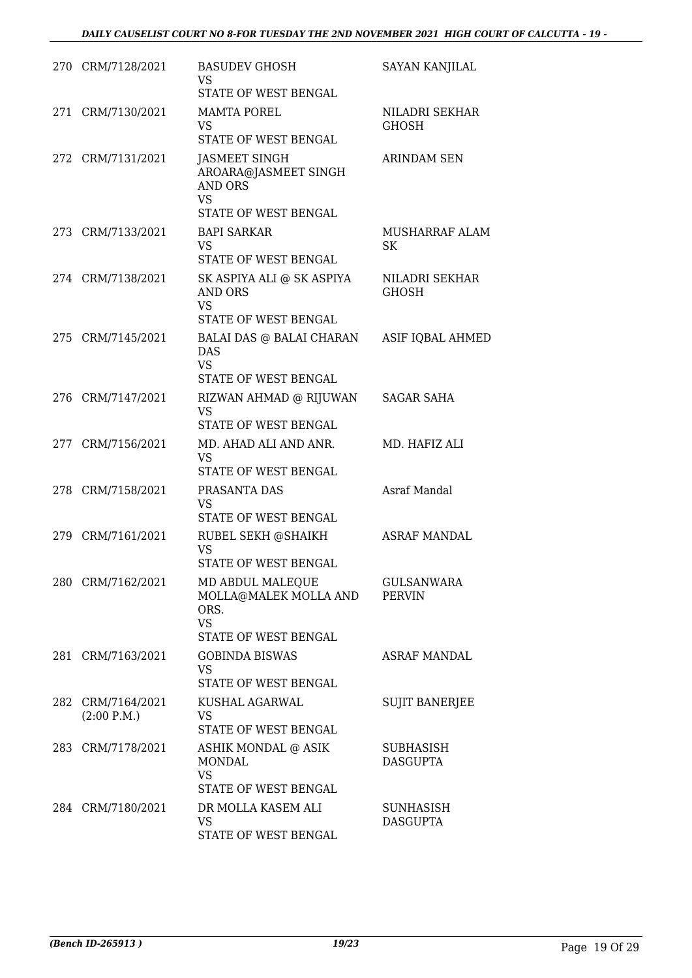| 270 CRM/7128/2021                | <b>BASUDEV GHOSH</b><br>VS.<br>STATE OF WEST BENGAL                                          | <b>SAYAN KANJILAL</b>               |
|----------------------------------|----------------------------------------------------------------------------------------------|-------------------------------------|
| 271 CRM/7130/2021                | <b>MAMTA POREL</b><br>VS<br>STATE OF WEST BENGAL                                             | NILADRI SEKHAR<br><b>GHOSH</b>      |
| 272 CRM/7131/2021                | JASMEET SINGH<br>AROARA@JASMEET SINGH<br><b>AND ORS</b><br><b>VS</b><br>STATE OF WEST BENGAL | <b>ARINDAM SEN</b>                  |
| 273 CRM/7133/2021                | <b>BAPI SARKAR</b><br><b>VS</b><br>STATE OF WEST BENGAL                                      | MUSHARRAF ALAM<br>SK.               |
| 274 CRM/7138/2021                | SK ASPIYA ALI @ SK ASPIYA<br>AND ORS<br><b>VS</b><br>STATE OF WEST BENGAL                    | NILADRI SEKHAR<br><b>GHOSH</b>      |
| 275 CRM/7145/2021                | BALAI DAS @ BALAI CHARAN<br>DAS<br><b>VS</b><br>STATE OF WEST BENGAL                         | ASIF IQBAL AHMED                    |
| 276 CRM/7147/2021                | RIZWAN AHMAD @ RIJUWAN<br>VS<br>STATE OF WEST BENGAL                                         | SAGAR SAHA                          |
| 277 CRM/7156/2021                | MD. AHAD ALI AND ANR.<br><b>VS</b><br>STATE OF WEST BENGAL                                   | MD. HAFIZ ALI                       |
| 278 CRM/7158/2021                | PRASANTA DAS<br><b>VS</b><br>STATE OF WEST BENGAL                                            | <b>Asraf Mandal</b>                 |
| 279 CRM/7161/2021                | RUBEL SEKH @SHAIKH<br><b>VS</b><br>STATE OF WEST BENGAL                                      | <b>ASRAF MANDAL</b>                 |
| 280 CRM/7162/2021                | MD ABDUL MALEQUE<br>MOLLA@MALEK MOLLA AND<br>ORS.<br><b>VS</b><br>STATE OF WEST BENGAL       | <b>GULSANWARA</b><br><b>PERVIN</b>  |
| 281 CRM/7163/2021                | <b>GOBINDA BISWAS</b><br><b>VS</b><br>STATE OF WEST BENGAL                                   | <b>ASRAF MANDAL</b>                 |
| 282 CRM/7164/2021<br>(2:00 P.M.) | KUSHAL AGARWAL<br>VS<br>STATE OF WEST BENGAL                                                 | <b>SUJIT BANERJEE</b>               |
| 283 CRM/7178/2021                | ASHIK MONDAL @ ASIK<br>MONDAL<br><b>VS</b><br>STATE OF WEST BENGAL                           | <b>SUBHASISH</b><br><b>DASGUPTA</b> |
| 284 CRM/7180/2021                | DR MOLLA KASEM ALI<br><b>VS</b><br>STATE OF WEST BENGAL                                      | SUNHASISH<br><b>DASGUPTA</b>        |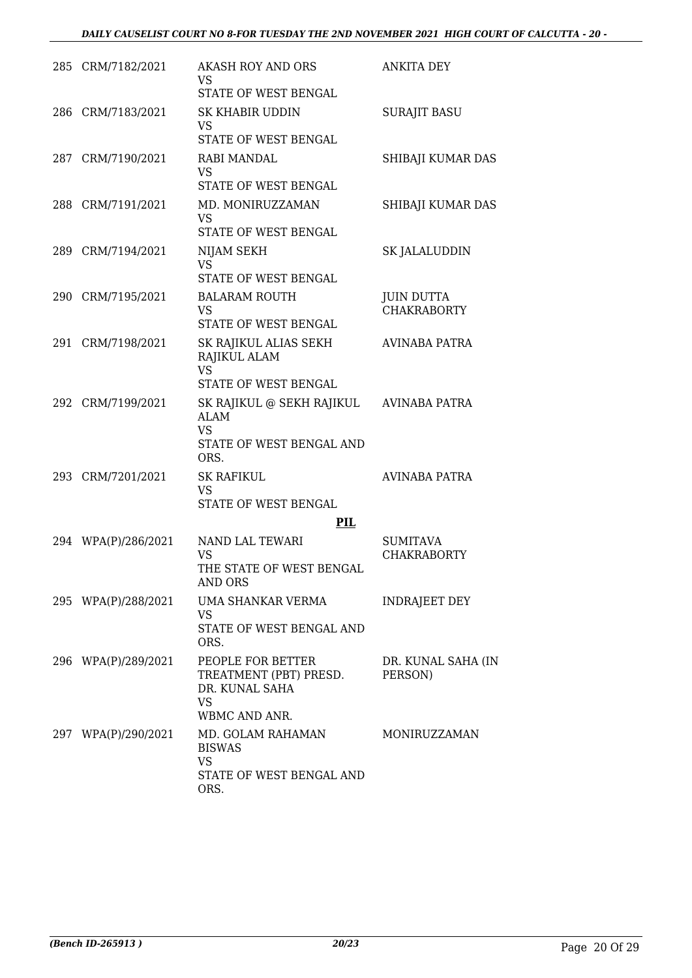|     | 285 CRM/7182/2021   | <b>AKASH ROY AND ORS</b><br>VS<br>STATE OF WEST BENGAL                                    | <b>ANKITA DEY</b>                       |
|-----|---------------------|-------------------------------------------------------------------------------------------|-----------------------------------------|
|     | 286 CRM/7183/2021   | SK KHABIR UDDIN<br>VS<br>STATE OF WEST BENGAL                                             | <b>SURAJIT BASU</b>                     |
|     | 287 CRM/7190/2021   | RABI MANDAL<br>VS<br>STATE OF WEST BENGAL                                                 | SHIBAJI KUMAR DAS                       |
|     | 288 CRM/7191/2021   | MD. MONIRUZZAMAN<br>VS<br>STATE OF WEST BENGAL                                            | SHIBAJI KUMAR DAS                       |
|     | 289 CRM/7194/2021   | NIJAM SEKH<br>VS<br>STATE OF WEST BENGAL                                                  | SK JALALUDDIN                           |
|     | 290 CRM/7195/2021   | <b>BALARAM ROUTH</b><br>VS<br>STATE OF WEST BENGAL                                        | <b>JUIN DUTTA</b><br><b>CHAKRABORTY</b> |
| 291 | CRM/7198/2021       | SK RAJIKUL ALIAS SEKH<br>RAJIKUL ALAM<br><b>VS</b><br>STATE OF WEST BENGAL                | AVINABA PATRA                           |
| 292 | CRM/7199/2021       | SK RAJIKUL @ SEKH RAJIKUL<br><b>ALAM</b><br><b>VS</b><br>STATE OF WEST BENGAL AND<br>ORS. | AVINABA PATRA                           |
|     | 293 CRM/7201/2021   | <b>SK RAFIKUL</b><br><b>VS</b><br>STATE OF WEST BENGAL<br>PIL                             | <b>AVINABA PATRA</b>                    |
|     | 294 WPA(P)/286/2021 | NAND LAL TEWARI<br>VS<br>THE STATE OF WEST BENGAL<br><b>AND ORS</b>                       | <b>SUMITAVA</b><br><b>CHAKRABORTY</b>   |
|     | 295 WPA(P)/288/2021 | UMA SHANKAR VERMA<br>VS<br>STATE OF WEST BENGAL AND<br>ORS.                               | INDRAJEET DEY                           |
|     | 296 WPA(P)/289/2021 | PEOPLE FOR BETTER<br>TREATMENT (PBT) PRESD.<br>DR. KUNAL SAHA<br>VS<br>WBMC AND ANR.      | DR. KUNAL SAHA (IN<br>PERSON)           |
|     | 297 WPA(P)/290/2021 | MD. GOLAM RAHAMAN<br><b>BISWAS</b><br><b>VS</b><br>STATE OF WEST BENGAL AND<br>ORS.       | MONIRUZZAMAN                            |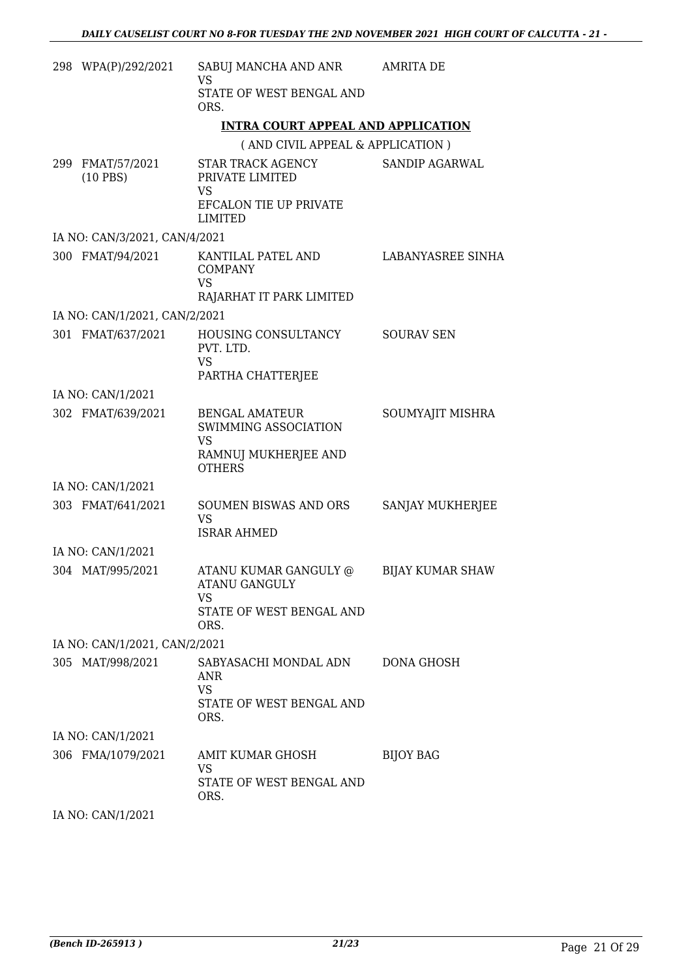| 298 WPA(P)/292/2021            | SABUJ MANCHA AND ANR<br>VS                                                                          | <b>AMRITA DE</b>        |
|--------------------------------|-----------------------------------------------------------------------------------------------------|-------------------------|
|                                | STATE OF WEST BENGAL AND<br>ORS.                                                                    |                         |
|                                | <b>INTRA COURT APPEAL AND APPLICATION</b>                                                           |                         |
|                                | (AND CIVIL APPEAL & APPLICATION)                                                                    |                         |
| 299 FMAT/57/2021<br>$(10$ PBS) | STAR TRACK AGENCY<br>PRIVATE LIMITED<br>VS<br>EFCALON TIE UP PRIVATE<br><b>LIMITED</b>              | SANDIP AGARWAL          |
| IA NO: CAN/3/2021, CAN/4/2021  |                                                                                                     |                         |
| 300 FMAT/94/2021               | KANTILAL PATEL AND<br><b>COMPANY</b><br>VS<br>RAJARHAT IT PARK LIMITED                              | LABANYASREE SINHA       |
| IA NO: CAN/1/2021, CAN/2/2021  |                                                                                                     |                         |
| 301 FMAT/637/2021              | HOUSING CONSULTANCY<br>PVT. LTD.<br><b>VS</b><br>PARTHA CHATTERJEE                                  | <b>SOURAV SEN</b>       |
| IA NO: CAN/1/2021              |                                                                                                     |                         |
| 302 FMAT/639/2021              | <b>BENGAL AMATEUR</b><br>SWIMMING ASSOCIATION<br><b>VS</b><br>RAMNUJ MUKHERJEE AND<br><b>OTHERS</b> | SOUMYAJIT MISHRA        |
| IA NO: CAN/1/2021              |                                                                                                     |                         |
| 303 FMAT/641/2021              | <b>SOUMEN BISWAS AND ORS</b><br><b>VS</b><br><b>ISRAR AHMED</b>                                     | SANJAY MUKHERJEE        |
| IA NO: CAN/1/2021              |                                                                                                     |                         |
| 304 MAT/995/2021               | ATANU KUMAR GANGULY @<br><b>ATANU GANGULY</b><br><b>VS</b><br>STATE OF WEST BENGAL AND<br>ORS.      | <b>BIJAY KUMAR SHAW</b> |
| IA NO: CAN/1/2021, CAN/2/2021  |                                                                                                     |                         |
| 305 MAT/998/2021               | SABYASACHI MONDAL ADN<br>ANR.<br><b>VS</b><br>STATE OF WEST BENGAL AND<br>ORS.                      | DONA GHOSH              |
| IA NO: CAN/1/2021              |                                                                                                     |                         |
| 306 FMA/1079/2021              | AMIT KUMAR GHOSH<br><b>VS</b><br>STATE OF WEST BENGAL AND<br>ORS.                                   | <b>BIJOY BAG</b>        |
| $IA$ $N0$ . $CAN1119021$       |                                                                                                     |                         |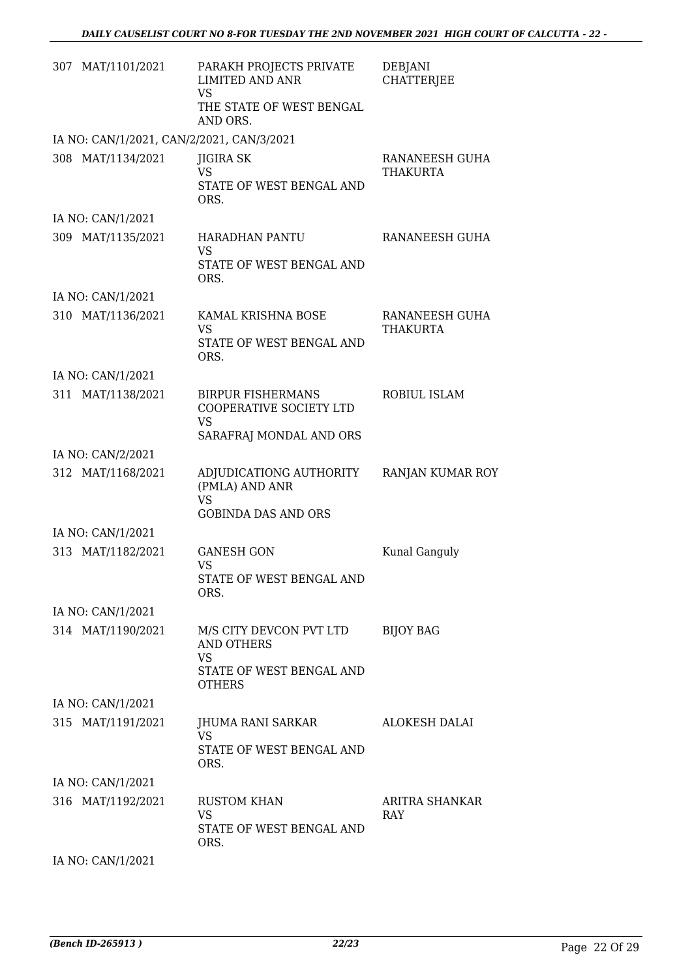| 307 MAT/1101/2021                         | PARAKH PROJECTS PRIVATE<br><b>LIMITED AND ANR</b><br><b>VS</b><br>THE STATE OF WEST BENGAL<br>AND ORS. | <b>DEBJANI</b><br><b>CHATTERJEE</b> |
|-------------------------------------------|--------------------------------------------------------------------------------------------------------|-------------------------------------|
| IA NO: CAN/1/2021, CAN/2/2021, CAN/3/2021 |                                                                                                        |                                     |
| 308 MAT/1134/2021                         | <b>JIGIRA SK</b><br><b>VS</b><br>STATE OF WEST BENGAL AND<br>ORS.                                      | RANANEESH GUHA<br>THAKURTA          |
| IA NO: CAN/1/2021                         |                                                                                                        |                                     |
| 309 MAT/1135/2021                         | HARADHAN PANTU<br><b>VS</b><br>STATE OF WEST BENGAL AND<br>ORS.                                        | RANANEESH GUHA                      |
| IA NO: CAN/1/2021                         |                                                                                                        |                                     |
| 310 MAT/1136/2021                         | KAMAL KRISHNA BOSE<br><b>VS</b><br>STATE OF WEST BENGAL AND<br>ORS.                                    | RANANEESH GUHA<br>THAKURTA          |
| IA NO: CAN/1/2021                         |                                                                                                        |                                     |
| 311 MAT/1138/2021                         | <b>BIRPUR FISHERMANS</b><br>COOPERATIVE SOCIETY LTD<br><b>VS</b><br>SARAFRAJ MONDAL AND ORS            | ROBIUL ISLAM                        |
| IA NO: CAN/2/2021                         |                                                                                                        |                                     |
| 312 MAT/1168/2021                         | ADJUDICATIONG AUTHORITY<br>(PMLA) AND ANR<br><b>VS</b><br><b>GOBINDA DAS AND ORS</b>                   | RANJAN KUMAR ROY                    |
| IA NO: CAN/1/2021                         |                                                                                                        |                                     |
| 313 MAT/1182/2021                         | <b>GANESH GON</b><br>VS<br>STATE OF WEST BENGAL AND<br>ORS.                                            | Kunal Ganguly                       |
| IA NO: CAN/1/2021                         |                                                                                                        |                                     |
| 314 MAT/1190/2021                         | M/S CITY DEVCON PVT LTD<br><b>AND OTHERS</b><br><b>VS</b><br>STATE OF WEST BENGAL AND<br><b>OTHERS</b> | <b>BIJOY BAG</b>                    |
| IA NO: CAN/1/2021                         |                                                                                                        |                                     |
| 315 MAT/1191/2021                         | JHUMA RANI SARKAR<br>VS.<br>STATE OF WEST BENGAL AND<br>ORS.                                           | ALOKESH DALAI                       |
| IA NO: CAN/1/2021                         |                                                                                                        |                                     |
| 316 MAT/1192/2021                         | <b>RUSTOM KHAN</b><br><b>VS</b><br>STATE OF WEST BENGAL AND<br>ORS.                                    | ARITRA SHANKAR<br>RAY               |
| IA NO: CAN/1/2021                         |                                                                                                        |                                     |

*(Bench ID-265913 ) 22/23* Page 22 Of 29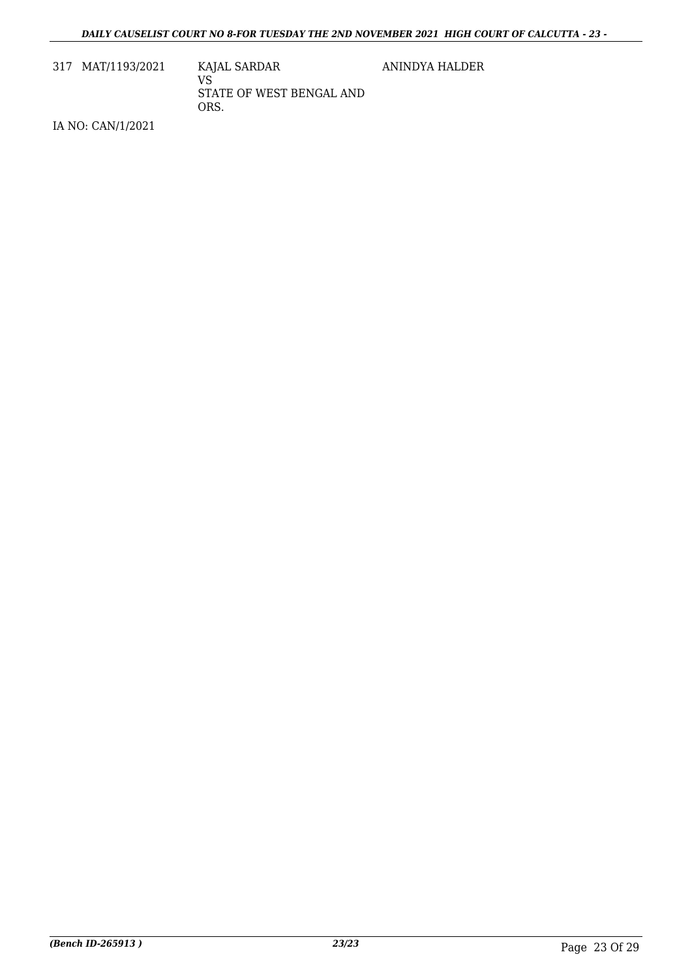317 MAT/1193/2021 KAJAL SARDAR

VS STATE OF WEST BENGAL AND ORS.

ANINDYA HALDER

IA NO: CAN/1/2021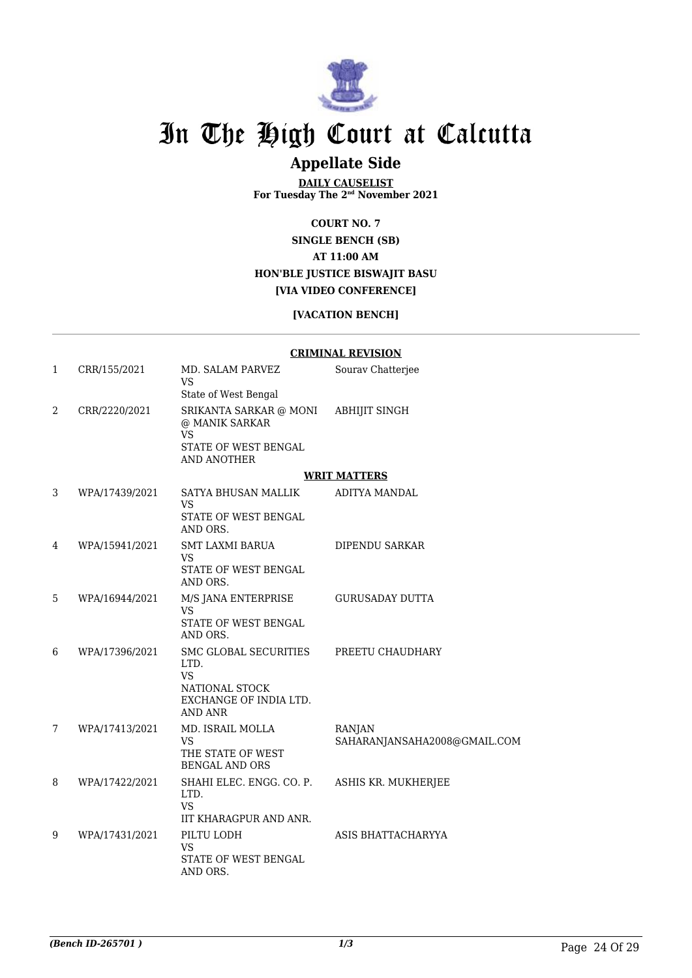

### **Appellate Side**

**DAILY CAUSELIST For Tuesday The 2nd November 2021**

**COURT NO. 7**

**SINGLE BENCH (SB) AT 11:00 AM HON'BLE JUSTICE BISWAJIT BASU [VIA VIDEO CONFERENCE]**

#### **[VACATION BENCH]**

|   |                |                                                                                                   | <b>CRIMINAL REVISION</b>                      |
|---|----------------|---------------------------------------------------------------------------------------------------|-----------------------------------------------|
| 1 | CRR/155/2021   | MD. SALAM PARVEZ<br>VS                                                                            | Sourav Chatterjee                             |
|   |                | State of West Bengal                                                                              |                                               |
| 2 | CRR/2220/2021  | SRIKANTA SARKAR @ MONI<br>@ MANIK SARKAR<br><b>VS</b>                                             | <b>ABHIJIT SINGH</b>                          |
|   |                | STATE OF WEST BENGAL<br><b>AND ANOTHER</b>                                                        |                                               |
|   |                |                                                                                                   | <b>WRIT MATTERS</b>                           |
| 3 | WPA/17439/2021 | SATYA BHUSAN MALLIK<br><b>VS</b>                                                                  | ADITYA MANDAL                                 |
|   |                | STATE OF WEST BENGAL<br>AND ORS.                                                                  |                                               |
| 4 | WPA/15941/2021 | SMT LAXMI BARUA<br>VS                                                                             | DIPENDU SARKAR                                |
|   |                | STATE OF WEST BENGAL<br>AND ORS.                                                                  |                                               |
| 5 | WPA/16944/2021 | M/S JANA ENTERPRISE<br>VS<br>STATE OF WEST BENGAL<br>AND ORS.                                     | <b>GURUSADAY DUTTA</b>                        |
| 6 | WPA/17396/2021 | SMC GLOBAL SECURITIES<br>LTD.<br><b>VS</b><br>NATIONAL STOCK<br>EXCHANGE OF INDIA LTD.<br>AND ANR | PREETU CHAUDHARY                              |
| 7 | WPA/17413/2021 | MD. ISRAIL MOLLA<br><b>VS</b><br>THE STATE OF WEST<br><b>BENGAL AND ORS</b>                       | <b>RANJAN</b><br>SAHARANJANSAHA2008@GMAIL.COM |
| 8 | WPA/17422/2021 | SHAHI ELEC. ENGG. CO. P.<br>LTD.<br>VS<br>IIT KHARAGPUR AND ANR.                                  | ASHIS KR. MUKHERJEE                           |
| 9 | WPA/17431/2021 | PILTU LODH<br>VS<br>STATE OF WEST BENGAL<br>AND ORS.                                              | ASIS BHATTACHARYYA                            |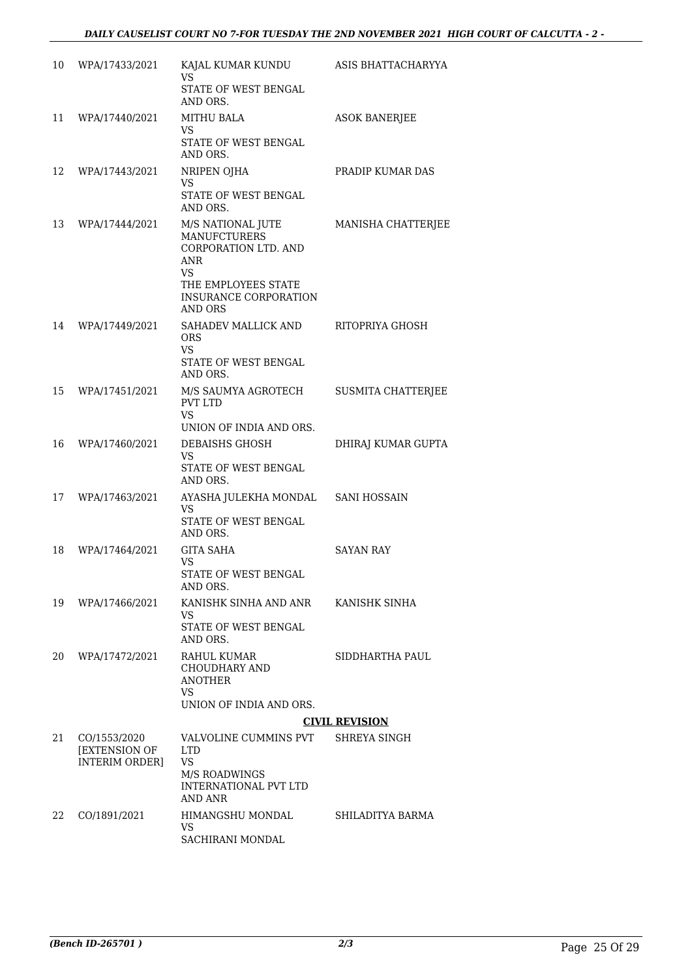| 10 | WPA/17433/2021                         | KAJAL KUMAR KUNDU<br>VS                                                                                                                                       | ASIS BHATTACHARYYA    |
|----|----------------------------------------|---------------------------------------------------------------------------------------------------------------------------------------------------------------|-----------------------|
|    |                                        | STATE OF WEST BENGAL<br>AND ORS.                                                                                                                              |                       |
| 11 | WPA/17440/2021                         | <b>MITHU BALA</b><br><b>VS</b>                                                                                                                                | <b>ASOK BANERJEE</b>  |
|    |                                        | STATE OF WEST BENGAL<br>AND ORS.                                                                                                                              |                       |
| 12 | WPA/17443/2021                         | NRIPEN OJHA<br>VS.                                                                                                                                            | PRADIP KUMAR DAS      |
|    |                                        | STATE OF WEST BENGAL<br>AND ORS.                                                                                                                              |                       |
| 13 | WPA/17444/2021                         | M/S NATIONAL JUTE<br><b>MANUFCTURERS</b><br>CORPORATION LTD. AND<br>ANR<br><b>VS</b><br>THE EMPLOYEES STATE<br><b>INSURANCE CORPORATION</b><br><b>AND ORS</b> | MANISHA CHATTERJEE    |
| 14 | WPA/17449/2021                         | SAHADEV MALLICK AND<br><b>ORS</b><br>VS                                                                                                                       | RITOPRIYA GHOSH       |
|    |                                        | STATE OF WEST BENGAL<br>AND ORS.                                                                                                                              |                       |
| 15 | WPA/17451/2021                         | M/S SAUMYA AGROTECH<br><b>PVT LTD</b><br>VS.                                                                                                                  | SUSMITA CHATTERJEE    |
|    |                                        | UNION OF INDIA AND ORS.                                                                                                                                       |                       |
| 16 | WPA/17460/2021                         | DEBAISHS GHOSH<br>VS<br>STATE OF WEST BENGAL<br>AND ORS.                                                                                                      | DHIRAJ KUMAR GUPTA    |
| 17 | WPA/17463/2021                         | AYASHA JULEKHA MONDAL<br><b>VS</b>                                                                                                                            | <b>SANI HOSSAIN</b>   |
|    |                                        | STATE OF WEST BENGAL<br>AND ORS.                                                                                                                              |                       |
| 18 | WPA/17464/2021                         | <b>GITA SAHA</b><br>VS                                                                                                                                        | SAYAN RAY             |
|    |                                        | STATE OF WEST BENGAL<br>AND ORS.                                                                                                                              |                       |
| 19 | WPA/17466/2021                         | KANISHK SINHA AND ANR<br>VS.                                                                                                                                  | KANISHK SINHA         |
|    |                                        | STATE OF WEST BENGAL<br>AND ORS.                                                                                                                              |                       |
| 20 | WPA/17472/2021                         | RAHUL KUMAR<br><b>CHOUDHARY AND</b><br><b>ANOTHER</b><br><b>VS</b>                                                                                            | SIDDHARTHA PAUL       |
|    |                                        | UNION OF INDIA AND ORS.                                                                                                                                       | <b>CIVIL REVISION</b> |
| 21 | CO/1553/2020                           | VALVOLINE CUMMINS PVT                                                                                                                                         | SHREYA SINGH          |
|    | [EXTENSION OF<br><b>INTERIM ORDER]</b> | <b>LTD</b><br><b>VS</b>                                                                                                                                       |                       |
|    |                                        | <b>M/S ROADWINGS</b><br>INTERNATIONAL PVT LTD<br>AND ANR                                                                                                      |                       |
| 22 | CO/1891/2021                           | HIMANGSHU MONDAL                                                                                                                                              | SHILADITYA BARMA      |
|    |                                        | VS<br>SACHIRANI MONDAL                                                                                                                                        |                       |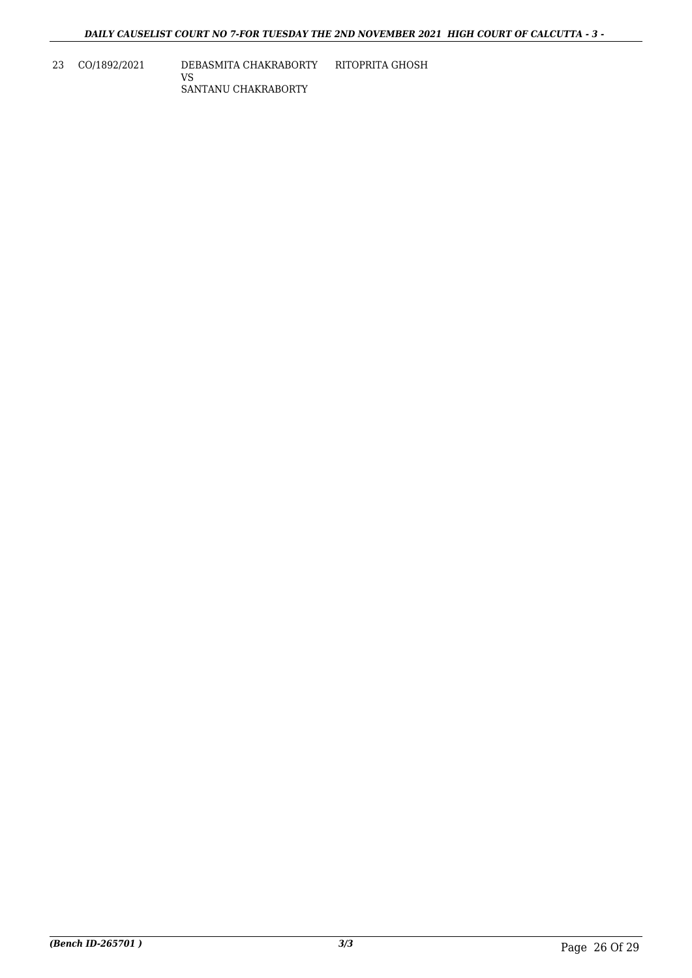23 CO/1892/2021 DEBASMITA CHAKRABORTY RITOPRITA GHOSH VS SANTANU CHAKRABORTY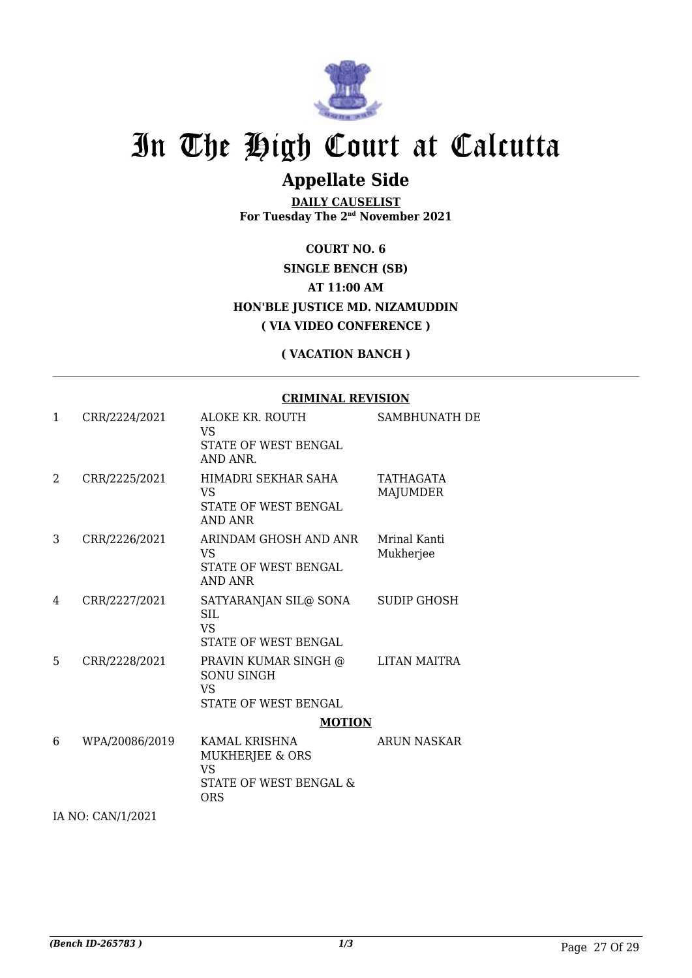

### **Appellate Side**

**DAILY CAUSELIST For Tuesday The 2nd November 2021**

**COURT NO. 6 SINGLE BENCH (SB) AT 11:00 AM HON'BLE JUSTICE MD. NIZAMUDDIN ( VIA VIDEO CONFERENCE )**

#### **( VACATION BANCH )**

#### **CRIMINAL REVISION**

| 1 | CRR/2224/2021  | ALOKE KR. ROUTH<br><b>VS</b><br><b>STATE OF WEST BENGAL</b><br>AND ANR.                         | SAMBHUNATH DE             |
|---|----------------|-------------------------------------------------------------------------------------------------|---------------------------|
| 2 | CRR/2225/2021  | HIMADRI SEKHAR SAHA<br><b>VS</b><br><b>STATE OF WEST BENGAL</b><br>AND ANR                      | TATHAGATA<br>MAJUMDER     |
| 3 | CRR/2226/2021  | ARINDAM GHOSH AND ANR<br>VS.<br>STATE OF WEST BENGAL<br>AND ANR                                 | Mrinal Kanti<br>Mukherjee |
| 4 | CRR/2227/2021  | SATYARANJAN SIL@ SONA<br>SIL.<br>VS.<br><b>STATE OF WEST BENGAL</b>                             | <b>SUDIP GHOSH</b>        |
| 5 | CRR/2228/2021  | PRAVIN KUMAR SINGH @<br>SONU SINGH<br>VS<br>STATE OF WEST BENGAL                                | LITAN MAITRA              |
| 6 | WPA/20086/2019 | <b>MOTION</b><br>KAMAL KRISHNA<br>MUKHERJEE & ORS<br><b>VS</b><br>STATE OF WEST BENGAL &<br>ORS | <b>ARUN NASKAR</b>        |

IA NO: CAN/1/2021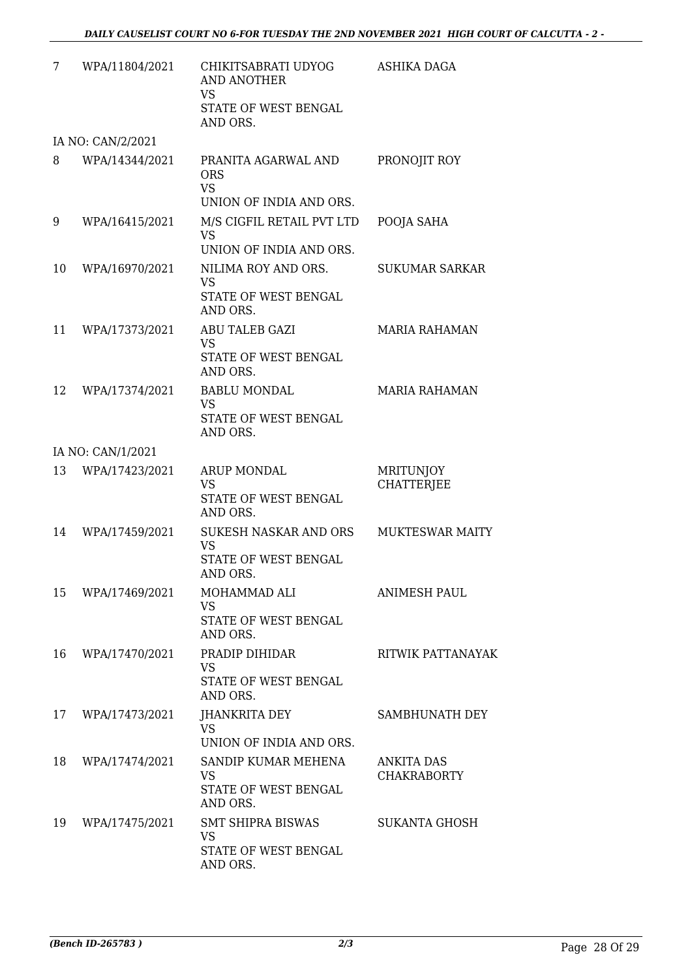| 7  | WPA/11804/2021    | CHIKITSABRATI UDYOG<br><b>AND ANOTHER</b><br><b>VS</b><br>STATE OF WEST BENGAL<br>AND ORS. | ASHIKA DAGA                           |
|----|-------------------|--------------------------------------------------------------------------------------------|---------------------------------------|
|    | IA NO: CAN/2/2021 |                                                                                            |                                       |
| 8  | WPA/14344/2021    | PRANITA AGARWAL AND<br><b>ORS</b><br><b>VS</b><br>UNION OF INDIA AND ORS.                  | PRONOJIT ROY                          |
| 9  | WPA/16415/2021    | M/S CIGFIL RETAIL PVT LTD<br><b>VS</b><br>UNION OF INDIA AND ORS.                          | POOJA SAHA                            |
| 10 | WPA/16970/2021    | NILIMA ROY AND ORS.<br><b>VS</b><br><b>STATE OF WEST BENGAL</b><br>AND ORS.                | <b>SUKUMAR SARKAR</b>                 |
| 11 | WPA/17373/2021    | ABU TALEB GAZI<br>VS.<br>STATE OF WEST BENGAL<br>AND ORS.                                  | <b>MARIA RAHAMAN</b>                  |
| 12 | WPA/17374/2021    | <b>BABLU MONDAL</b><br><b>VS</b><br>STATE OF WEST BENGAL<br>AND ORS.                       | <b>MARIA RAHAMAN</b>                  |
|    | IA NO: CAN/1/2021 |                                                                                            |                                       |
| 13 | WPA/17423/2021    | <b>ARUP MONDAL</b><br><b>VS</b><br>STATE OF WEST BENGAL<br>AND ORS.                        | <b>MRITUNJOY</b><br><b>CHATTERJEE</b> |
| 14 | WPA/17459/2021    | SUKESH NASKAR AND ORS<br><b>VS</b><br>STATE OF WEST BENGAL<br>AND ORS                      | <b>MUKTESWAR MAITY</b>                |
| 15 | WPA/17469/2021    | MOHAMMAD ALI<br><b>VS</b><br>STATE OF WEST BENGAL<br>AND ORS.                              | <b>ANIMESH PAUL</b>                   |
| 16 | WPA/17470/2021    | PRADIP DIHIDAR<br><b>VS</b><br>STATE OF WEST BENGAL<br>AND ORS.                            | RITWIK PATTANAYAK                     |
| 17 | WPA/17473/2021    | JHANKRITA DEY<br><b>VS</b><br>UNION OF INDIA AND ORS.                                      | SAMBHUNATH DEY                        |
| 18 | WPA/17474/2021    | SANDIP KUMAR MEHENA<br><b>VS</b><br>STATE OF WEST BENGAL<br>AND ORS.                       | ANKITA DAS<br><b>CHAKRABORTY</b>      |
| 19 | WPA/17475/2021    | <b>SMT SHIPRA BISWAS</b><br><b>VS</b><br>STATE OF WEST BENGAL<br>AND ORS.                  | SUKANTA GHOSH                         |